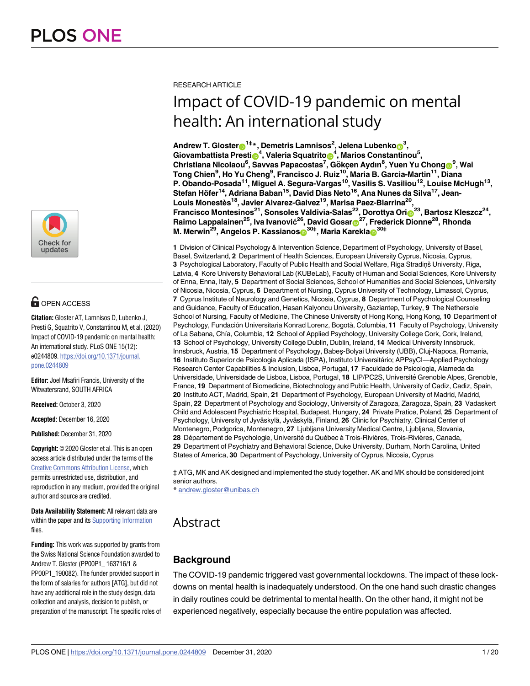

## $\mathbf{G}$  OPEN ACCESS

**Citation:** Gloster AT, Lamnisos D, Lubenko J, Presti G, Squatrito V, Constantinou M, et al. (2020) Impact of COVID-19 pandemic on mental health: An international study. PLoS ONE 15(12): e0244809. [https://doi.org/10.1371/journal.](https://doi.org/10.1371/journal.pone.0244809) [pone.0244809](https://doi.org/10.1371/journal.pone.0244809)

**Editor:** Joel Msafiri Francis, University of the Witwatersrand, SOUTH AFRICA

**Received:** October 3, 2020

**Accepted:** December 16, 2020

**Published:** December 31, 2020

**Copyright:** © 2020 Gloster et al. This is an open access article distributed under the terms of the Creative Commons [Attribution](http://creativecommons.org/licenses/by/4.0/) License, which permits unrestricted use, distribution, and reproduction in any medium, provided the original author and source are credited.

**Data Availability Statement:** All relevant data are within the paper and its Supporting [Information](#page-15-0) files.

**Funding:** This work was supported by grants from the Swiss National Science Foundation awarded to Andrew T. Gloster (PP00P1\_ 163716/1 & PP00P1\_190082). The funder provided support in the form of salaries for authors [ATG], but did not have any additional role in the study design, data collection and analysis, decision to publish, or preparation of the manuscript. The specific roles of RESEARCH ARTICLE

# Impact of COVID-19 pandemic on mental health: An international study

 ${\sf Andrew\ T.}$   ${\sf Gloster}$   $\pmb{\Theta}^{1\ddagger\ast}$  ,  ${\sf Demetris\ Lammisos^2,$   ${\sf Jelena\ Lubenko}$   $\pmb{\Theta}^3,$  $\delta^{4}$ , Marios Constantinou5, Valeria Squatrito $\delta^{4}$ , Marios Constantinou5,  $\mathsf{Christiana \, Nicolaou^6, Savvas \, Papacostas^7, Gökçen \, Aydın^8, Yuen \, Yu Chong<sup>®</sup>, Wai$ **Tong Chien9 , Ho Yu Cheng9 , Francisco J. Ruiz10, Maria B. Garcia-Martin11, Diana P. Obando-Posada11, Miguel A. Segura-Vargas10, Vasilis S. Vasiliou12, Louise McHugh13,** Stefan Höfer<sup>14</sup>, Adriana Baban<sup>15</sup>, David Dias Neto<sup>16</sup>, Ana Nunes da Silva<sup>17</sup>, Jean-**Louis Monestès18, Javier Alvarez-Galvez19, Marisa Paez-Blarrina20, Francisco Montesinos<sup>21</sup>, Sonsoles Valdivia-Salas<sup>22</sup>, Dorottya Ori** $\frac{1}{10}$ **<sup>23</sup>, Bartosz Kleszcz<sup>24</sup>, Raimo Lappalainen25, Iva Ivanović26, David Gosa[rID](https://orcid.org/0000-0002-5289-3459)27, Frederick Dionne28, Rhonda**  ${\sf M.\ M}$ erwin<sup>29</sup>, Angelos P. Kassianos $\boldsymbol{\Theta}^{30\ddagger}$ , Maria Karekla $\boldsymbol{\Theta}^{30\ddagger}$ 

**1** Division of Clinical Psychology & Intervention Science, Department of Psychology, University of Basel, Basel, Switzerland, **2** Department of Health Sciences, European University Cyprus, Nicosia, Cyprus, 3 Psychological Laboratory, Faculty of Public Health and Social Welfare, Riga Stradin
s University, Riga, Latvia, **4** Kore University Behavioral Lab (KUBeLab), Faculty of Human and Social Sciences, Kore University of Enna, Enna, Italy, **5** Department of Social Sciences, School of Humanities and Social Sciences, University of Nicosia, Nicosia, Cyprus, **6** Department of Nursing, Cyprus University of Technology, Limassol, Cyprus, **7** Cyprus Institute of Neurology and Genetics, Nicosia, Cyprus, **8** Department of Psychological Counseling and Guidance, Faculty of Education, Hasan Kalyoncu University, Gaziantep, Turkey, **9** The Nethersole School of Nursing, Faculty of Medicine, The Chinese University of Hong Kong, Hong Kong, **10** Department of Psychology, Fundación Universitaria Konrad Lorenz, Bogotà, Columbia, 11 Faculty of Psychology, University of La Sabana, Chı´a, Columbia, **12** School of Applied Psychology, University College Cork, Cork, Ireland, **13** School of Psychology, University College Dublin, Dublin, Ireland, **14** Medical University Innsbruck, Innsbruck, Austria, **15** Department of Psychology, Babeş-Bolyai University (UBB), Cluj-Napoca, Romania, 16 Instituto Superior de Psicologia Aplicada (ISPA), Instituto Universitário; APPsyCl—Applied Psychology Research Center Capabilities & Inclusion, Lisboa, Portugal, **17** Faculdade de Psicologia, Alameda da Universidade, Universidade de Lisboa, Lisboa, Portugal, **18** LIP/PC2S, Universite´ Grenoble Alpes, Grenoble, France, **19** Department of Biomedicine, Biotechnology and Public Health, University of Cadiz, Cadiz, Spain, **20** Instituto ACT, Madrid, Spain, **21** Department of Psychology, European University of Madrid, Madrid, Spain, **22** Department of Psychology and Sociology, University of Zaragoza, Zaragoza, Spain, **23** Vadaskert Child and Adolescent Psychiatric Hospital, Budapest, Hungary, **24** Private Pratice, Poland, **25** Department of Psychology, University of Jyväskylä, Jyväskylä, Finland, 26 Clinic for Psychiatry, Clinical Center of Montenegro, Podgorica, Montenegro, **27** Ljubljana University Medical Centre, Ljubljana, Slovania, 28 Département de Psychologie, Université du Québec à Trois-Rivières, Trois-Rivières, Canada, **29** Department of Psychiatry and Behavioral Science, Duke University, Durham, North Carolina, United States of America, **30** Department of Psychology, University of Cyprus, Nicosia, Cyprus

‡ ATG, MK and AK designed and implemented the study together. AK and MK should be considered joint senior authors.

\* andrew.gloster@unibas.ch

## Abstract

## **Background**

The COVID-19 pandemic triggered vast governmental lockdowns. The impact of these lockdowns on mental health is inadequately understood. On the one hand such drastic changes in daily routines could be detrimental to mental health. On the other hand, it might not be experienced negatively, especially because the entire population was affected.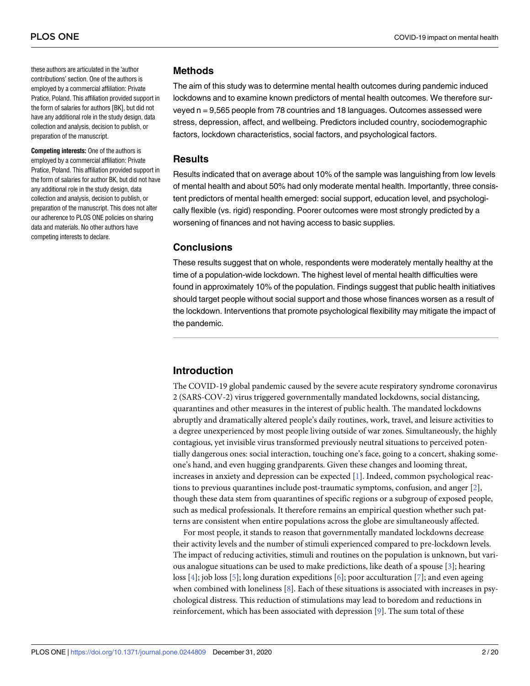<span id="page-1-0"></span>these authors are articulated in the 'author contributions' section. One of the authors is employed by a commercial affiliation: Private Pratice, Poland. This affiliation provided support in the form of salaries for authors [BK], but did not have any additional role in the study design, data collection and analysis, decision to publish, or preparation of the manuscript.

**Competing interests:** One of the authors is employed by a commercial affiliation: Private Pratice, Poland. This affiliation provided support in the form of salaries for author BK, but did not have any additional role in the study design, data collection and analysis, decision to publish, or preparation of the manuscript. This does not alter our adherence to PLOS ONE policies on sharing data and materials. No other authors have competing interests to declare.

## **Methods**

The aim of this study was to determine mental health outcomes during pandemic induced lockdowns and to examine known predictors of mental health outcomes. We therefore surveyed n = 9,565 people from 78 countries and 18 languages. Outcomes assessed were stress, depression, affect, and wellbeing. Predictors included country, sociodemographic factors, lockdown characteristics, social factors, and psychological factors.

## **Results**

Results indicated that on average about 10% of the sample was languishing from low levels of mental health and about 50% had only moderate mental health. Importantly, three consistent predictors of mental health emerged: social support, education level, and psychologically flexible (vs. rigid) responding. Poorer outcomes were most strongly predicted by a worsening of finances and not having access to basic supplies.

## **Conclusions**

These results suggest that on whole, respondents were moderately mentally healthy at the time of a population-wide lockdown. The highest level of mental health difficulties were found in approximately 10% of the population. Findings suggest that public health initiatives should target people without social support and those whose finances worsen as a result of the lockdown. Interventions that promote psychological flexibility may mitigate the impact of the pandemic.

## **Introduction**

The COVID-19 global pandemic caused by the severe acute respiratory syndrome coronavirus 2 (SARS-COV-2) virus triggered governmentally mandated lockdowns, social distancing, quarantines and other measures in the interest of public health. The mandated lockdowns abruptly and dramatically altered people's daily routines, work, travel, and leisure activities to a degree unexperienced by most people living outside of war zones. Simultaneously, the highly contagious, yet invisible virus transformed previously neutral situations to perceived potentially dangerous ones: social interaction, touching one's face, going to a concert, shaking someone's hand, and even hugging grandparents. Given these changes and looming threat, increases in anxiety and depression can be expected [[1\]](#page-17-0). Indeed, common psychological reactions to previous quarantines include post-traumatic symptoms, confusion, and anger [[2](#page-17-0)], though these data stem from quarantines of specific regions or a subgroup of exposed people, such as medical professionals. It therefore remains an empirical question whether such patterns are consistent when entire populations across the globe are simultaneously affected.

For most people, it stands to reason that governmentally mandated lockdowns decrease their activity levels and the number of stimuli experienced compared to pre-lockdown levels. The impact of reducing activities, stimuli and routines on the population is unknown, but various analogue situations can be used to make predictions, like death of a spouse [\[3](#page-17-0)]; hearing loss [\[4](#page-17-0)]; job loss [\[5\]](#page-17-0); long duration expeditions [\[6](#page-17-0)]; poor acculturation [[7\]](#page-17-0); and even ageing when combined with loneliness  $[8]$  $[8]$ . Each of these situations is associated with increases in psychological distress. This reduction of stimulations may lead to boredom and reductions in reinforcement, which has been associated with depression [[9\]](#page-17-0). The sum total of these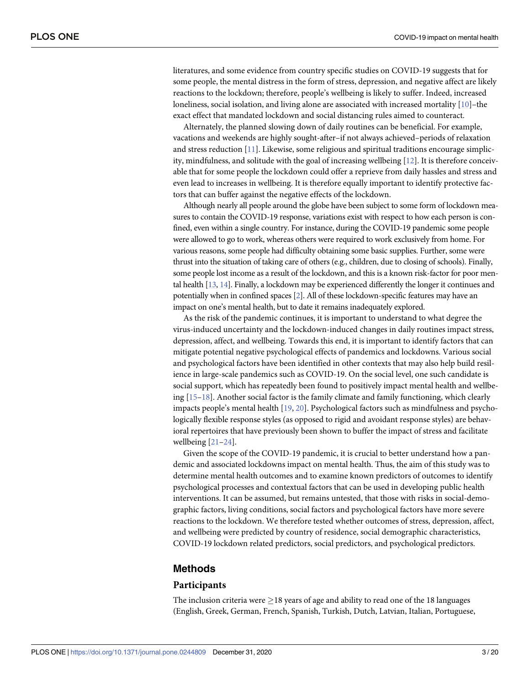<span id="page-2-0"></span>literatures, and some evidence from country specific studies on COVID-19 suggests that for some people, the mental distress in the form of stress, depression, and negative affect are likely reactions to the lockdown; therefore, people's wellbeing is likely to suffer. Indeed, increased loneliness, social isolation, and living alone are associated with increased mortality [[10](#page-17-0)]–the exact effect that mandated lockdown and social distancing rules aimed to counteract.

Alternately, the planned slowing down of daily routines can be beneficial. For example, vacations and weekends are highly sought-after–if not always achieved–periods of relaxation and stress reduction [[11](#page-17-0)]. Likewise, some religious and spiritual traditions encourage simplicity, mindfulness, and solitude with the goal of increasing wellbeing [\[12\]](#page-17-0). It is therefore conceivable that for some people the lockdown could offer a reprieve from daily hassles and stress and even lead to increases in wellbeing. It is therefore equally important to identify protective factors that can buffer against the negative effects of the lockdown.

Although nearly all people around the globe have been subject to some form of lockdown measures to contain the COVID-19 response, variations exist with respect to how each person is confined, even within a single country. For instance, during the COVID-19 pandemic some people were allowed to go to work, whereas others were required to work exclusively from home. For various reasons, some people had difficulty obtaining some basic supplies. Further, some were thrust into the situation of taking care of others (e.g., children, due to closing of schools). Finally, some people lost income as a result of the lockdown, and this is a known risk-factor for poor mental health [[13,](#page-17-0) [14](#page-17-0)]. Finally, a lockdown may be experienced differently the longer it continues and potentially when in confined spaces [\[2\]](#page-17-0). All of these lockdown-specific features may have an impact on one's mental health, but to date it remains inadequately explored.

As the risk of the pandemic continues, it is important to understand to what degree the virus-induced uncertainty and the lockdown-induced changes in daily routines impact stress, depression, affect, and wellbeing. Towards this end, it is important to identify factors that can mitigate potential negative psychological effects of pandemics and lockdowns. Various social and psychological factors have been identified in other contexts that may also help build resilience in large-scale pandemics such as COVID-19. On the social level, one such candidate is social support, which has repeatedly been found to positively impact mental health and wellbeing [\[15](#page-17-0)[–18\]](#page-18-0). Another social factor is the family climate and family functioning, which clearly impacts people's mental health [[19](#page-18-0), [20](#page-18-0)]. Psychological factors such as mindfulness and psychologically flexible response styles (as opposed to rigid and avoidant response styles) are behavioral repertoires that have previously been shown to buffer the impact of stress and facilitate wellbeing [[21–24\]](#page-18-0).

Given the scope of the COVID-19 pandemic, it is crucial to better understand how a pandemic and associated lockdowns impact on mental health. Thus, the aim of this study was to determine mental health outcomes and to examine known predictors of outcomes to identify psychological processes and contextual factors that can be used in developing public health interventions. It can be assumed, but remains untested, that those with risks in social-demographic factors, living conditions, social factors and psychological factors have more severe reactions to the lockdown. We therefore tested whether outcomes of stress, depression, affect, and wellbeing were predicted by country of residence, social demographic characteristics, COVID-19 lockdown related predictors, social predictors, and psychological predictors.

## **Methods**

#### **Participants**

The inclusion criteria were  $\geq$  18 years of age and ability to read one of the 18 languages (English, Greek, German, French, Spanish, Turkish, Dutch, Latvian, Italian, Portuguese,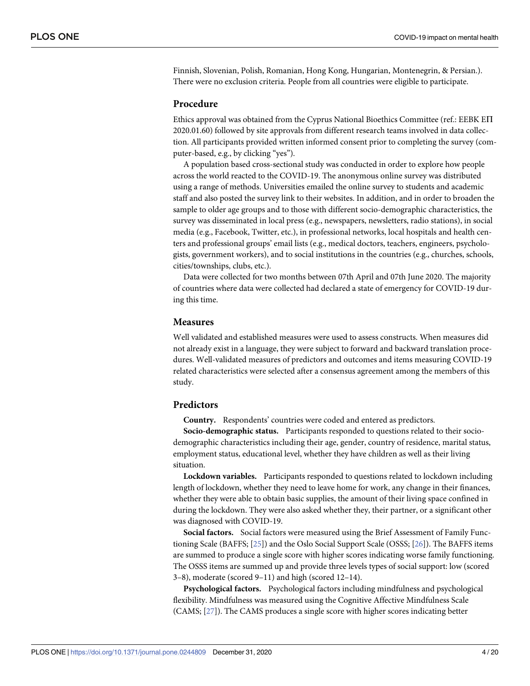<span id="page-3-0"></span>Finnish, Slovenian, Polish, Romanian, Hong Kong, Hungarian, Montenegrin, & Persian.). There were no exclusion criteria. People from all countries were eligible to participate.

### **Procedure**

Ethics approval was obtained from the Cyprus National Bioethics Committee (ref.: EEBK E $\Pi$ 2020.01.60) followed by site approvals from different research teams involved in data collection. All participants provided written informed consent prior to completing the survey (computer-based, e.g., by clicking "yes").

A population based cross-sectional study was conducted in order to explore how people across the world reacted to the COVID-19. The anonymous online survey was distributed using a range of methods. Universities emailed the online survey to students and academic staff and also posted the survey link to their websites. In addition, and in order to broaden the sample to older age groups and to those with different socio-demographic characteristics, the survey was disseminated in local press (e.g., newspapers, newsletters, radio stations), in social media (e.g., Facebook, Twitter, etc.), in professional networks, local hospitals and health centers and professional groups' email lists (e.g., medical doctors, teachers, engineers, psychologists, government workers), and to social institutions in the countries (e.g., churches, schools, cities/townships, clubs, etc.).

Data were collected for two months between 07th April and 07th June 2020. The majority of countries where data were collected had declared a state of emergency for COVID-19 during this time.

#### **Measures**

Well validated and established measures were used to assess constructs. When measures did not already exist in a language, they were subject to forward and backward translation procedures. Well-validated measures of predictors and outcomes and items measuring COVID-19 related characteristics were selected after a consensus agreement among the members of this study.

## **Predictors**

**Country.** Respondents' countries were coded and entered as predictors.

**Socio-demographic status.** Participants responded to questions related to their sociodemographic characteristics including their age, gender, country of residence, marital status, employment status, educational level, whether they have children as well as their living situation.

**Lockdown variables.** Participants responded to questions related to lockdown including length of lockdown, whether they need to leave home for work, any change in their finances, whether they were able to obtain basic supplies, the amount of their living space confined in during the lockdown. They were also asked whether they, their partner, or a significant other was diagnosed with COVID-19.

**Social factors.** Social factors were measured using the Brief Assessment of Family Functioning Scale (BAFFS; [[25](#page-18-0)]) and the Oslo Social Support Scale (OSSS; [\[26\]](#page-18-0)). The BAFFS items are summed to produce a single score with higher scores indicating worse family functioning. The OSSS items are summed up and provide three levels types of social support: low (scored 3–8), moderate (scored 9–11) and high (scored 12–14).

**Psychological factors.** Psychological factors including mindfulness and psychological flexibility. Mindfulness was measured using the Cognitive Affective Mindfulness Scale (CAMS; [\[27\]](#page-18-0)). The CAMS produces a single score with higher scores indicating better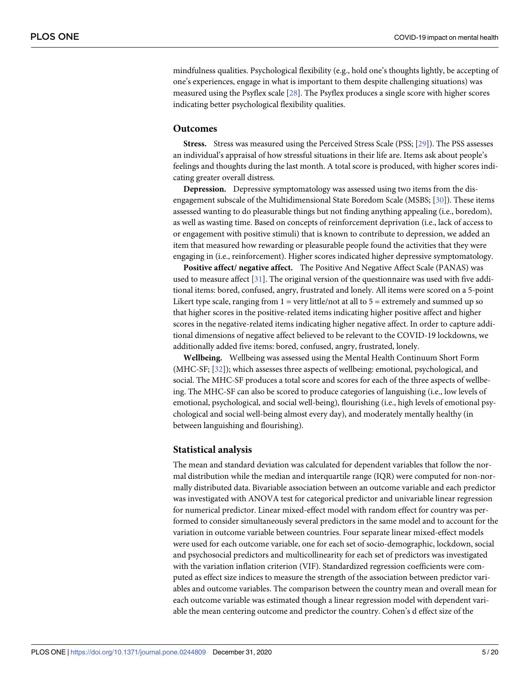<span id="page-4-0"></span>mindfulness qualities. Psychological flexibility (e.g., hold one's thoughts lightly, be accepting of one's experiences, engage in what is important to them despite challenging situations) was measured using the Psyflex scale [\[28\]](#page-18-0). The Psyflex produces a single score with higher scores indicating better psychological flexibility qualities.

#### **Outcomes**

**Stress.** Stress was measured using the Perceived Stress Scale (PSS; [\[29\]](#page-18-0)). The PSS assesses an individual's appraisal of how stressful situations in their life are. Items ask about people's feelings and thoughts during the last month. A total score is produced, with higher scores indicating greater overall distress.

**Depression.** Depressive symptomatology was assessed using two items from the disengagement subscale of the Multidimensional State Boredom Scale (MSBS; [\[30\]](#page-18-0)). These items assessed wanting to do pleasurable things but not finding anything appealing (i.e., boredom), as well as wasting time. Based on concepts of reinforcement deprivation (i.e., lack of access to or engagement with positive stimuli) that is known to contribute to depression, we added an item that measured how rewarding or pleasurable people found the activities that they were engaging in (i.e., reinforcement). Higher scores indicated higher depressive symptomatology.

**Positive affect/ negative affect.** The Positive And Negative Affect Scale (PANAS) was used to measure affect [[31](#page-18-0)]. The original version of the questionnaire was used with five additional items: bored, confused, angry, frustrated and lonely. All items were scored on a 5-point Likert type scale, ranging from  $1 =$  very little/not at all to  $5 =$  extremely and summed up so that higher scores in the positive-related items indicating higher positive affect and higher scores in the negative-related items indicating higher negative affect. In order to capture additional dimensions of negative affect believed to be relevant to the COVID-19 lockdowns, we additionally added five items: bored, confused, angry, frustrated, lonely.

**Wellbeing.** Wellbeing was assessed using the Mental Health Continuum Short Form (MHC-SF; [\[32\]](#page-18-0)); which assesses three aspects of wellbeing: emotional, psychological, and social. The MHC-SF produces a total score and scores for each of the three aspects of wellbeing. The MHC-SF can also be scored to produce categories of languishing (i.e., low levels of emotional, psychological, and social well-being), flourishing (i.e., high levels of emotional psychological and social well-being almost every day), and moderately mentally healthy (in between languishing and flourishing).

#### **Statistical analysis**

The mean and standard deviation was calculated for dependent variables that follow the normal distribution while the median and interquartile range (IQR) were computed for non-normally distributed data. Bivariable association between an outcome variable and each predictor was investigated with ANOVA test for categorical predictor and univariable linear regression for numerical predictor. Linear mixed-effect model with random effect for country was performed to consider simultaneously several predictors in the same model and to account for the variation in outcome variable between countries. Four separate linear mixed-effect models were used for each outcome variable, one for each set of socio-demographic, lockdown, social and psychosocial predictors and multicollinearity for each set of predictors was investigated with the variation inflation criterion (VIF). Standardized regression coefficients were computed as effect size indices to measure the strength of the association between predictor variables and outcome variables. The comparison between the country mean and overall mean for each outcome variable was estimated though a linear regression model with dependent variable the mean centering outcome and predictor the country. Cohen's d effect size of the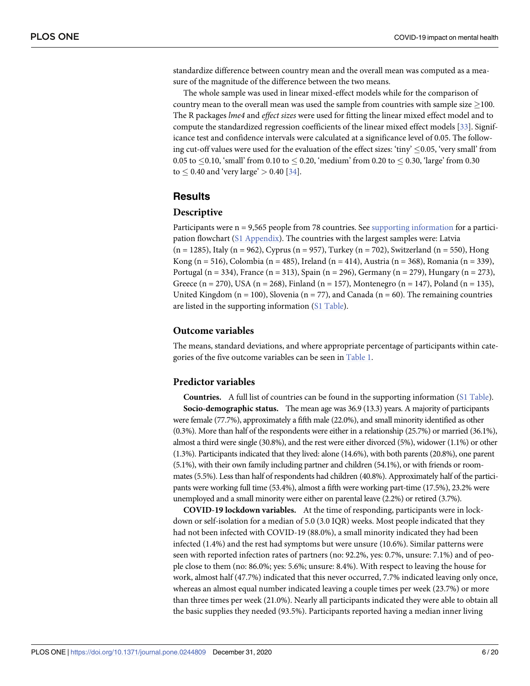<span id="page-5-0"></span>standardize difference between country mean and the overall mean was computed as a measure of the magnitude of the difference between the two means.

The whole sample was used in linear mixed-effect models while for the comparison of country mean to the overall mean was used the sample from countries with sample size  $\geq$ 100. The R packages *lme4* and *effect sizes* were used for fitting the linear mixed effect model and to compute the standardized regression coefficients of the linear mixed effect models [\[33\]](#page-18-0). Significance test and confidence intervals were calculated at a significance level of 0.05. The following cut-off values were used for the evaluation of the effect sizes: 'tiny'  $\leq 0.05$ , 'very small' from 0.05 to  $\leq$  0.10, 'small' from 0.10 to  $\leq$  0.20, 'medium' from 0.20 to  $\leq$  0.30, 'large' from 0.30 to  $\leq$  0.40 and 'very large'  $>$  0.40 [\[34\]](#page-18-0).

## **Results**

#### **Descriptive**

Participants were n = 9,565 people from 78 countries. See supporting [information](#page-15-0) for a participation flowchart (S1 [Appendix\)](#page-16-0). The countries with the largest samples were: Latvia (n = 1285), Italy (n = 962), Cyprus (n = 957), Turkey (n = 702), Switzerland (n = 550), Hong Kong (n = 516), Colombia (n = 485), Ireland (n = 414), Austria (n = 368), Romania (n = 339), Portugal (n = 334), France (n = 313), Spain (n = 296), Germany (n = 279), Hungary (n = 273), Greece (n = 270), USA (n = 268), Finland (n = 157), Montenegro (n = 147), Poland (n = 135), United Kingdom ( $n = 100$ ), Slovenia ( $n = 77$ ), and Canada ( $n = 60$ ). The remaining countries are listed in the supporting information (S1 [Table](#page-15-0)).

## **Outcome variables**

The means, standard deviations, and where appropriate percentage of participants within categories of the five outcome variables can be seen in [Table](#page-6-0) 1.

#### **Predictor variables**

**Countries.** A full list of countries can be found in the supporting information (S1 [Table\)](#page-15-0). **Socio-demographic status.** The mean age was 36.9 (13.3) years. A majority of participants were female (77.7%), approximately a fifth male (22.0%), and small minority identified as other (0.3%). More than half of the respondents were either in a relationship (25.7%) or married (36.1%), almost a third were single (30.8%), and the rest were either divorced (5%), widower (1.1%) or other (1.3%). Participants indicated that they lived: alone (14.6%), with both parents (20.8%), one parent (5.1%), with their own family including partner and children (54.1%), or with friends or roommates (5.5%). Less than half of respondents had children (40.8%). Approximately half of the participants were working full time (53.4%), almost a fifth were working part-time (17.5%), 23.2% were unemployed and a small minority were either on parental leave (2.2%) or retired (3.7%).

**COVID-19 lockdown variables.** At the time of responding, participants were in lockdown or self-isolation for a median of 5.0 (3.0 IQR) weeks. Most people indicated that they had not been infected with COVID-19 (88.0%), a small minority indicated they had been infected (1.4%) and the rest had symptoms but were unsure (10.6%). Similar patterns were seen with reported infection rates of partners (no: 92.2%, yes: 0.7%, unsure: 7.1%) and of people close to them (no: 86.0%; yes: 5.6%; unsure: 8.4%). With respect to leaving the house for work, almost half (47.7%) indicated that this never occurred, 7.7% indicated leaving only once, whereas an almost equal number indicated leaving a couple times per week (23.7%) or more than three times per week (21.0%). Nearly all participants indicated they were able to obtain all the basic supplies they needed (93.5%). Participants reported having a median inner living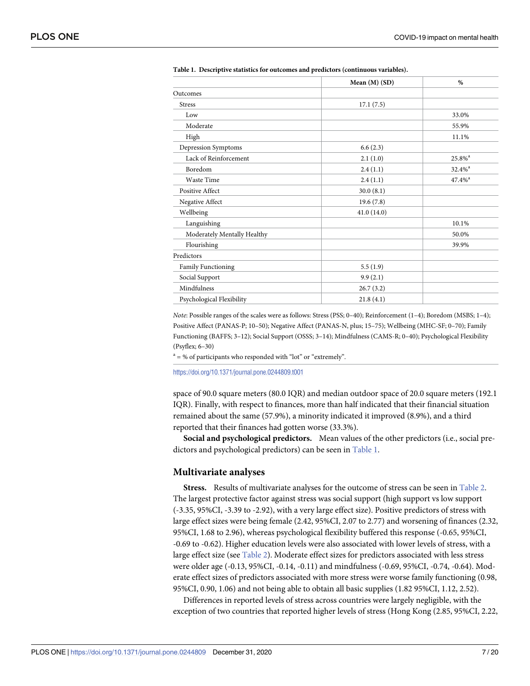|                             | Mean $(M)$ (SD) | %                    |
|-----------------------------|-----------------|----------------------|
| Outcomes                    |                 |                      |
| <b>Stress</b>               | 17.1(7.5)       |                      |
| Low                         |                 | 33.0%                |
| Moderate                    |                 | 55.9%                |
| High                        |                 | 11.1%                |
| Depression Symptoms         | 6.6(2.3)        |                      |
| Lack of Reinforcement       | 2.1(1.0)        | 25.8% <sup>a</sup>   |
| Boredom                     | 2.4(1.1)        | $32.4%$ <sup>a</sup> |
| <b>Waste Time</b>           | 2.4(1.1)        | $47.4%$ <sup>a</sup> |
| <b>Positive Affect</b>      | 30.0(8.1)       |                      |
| Negative Affect             | 19.6(7.8)       |                      |
| Wellbeing                   | 41.0(14.0)      |                      |
| Languishing                 |                 | 10.1%                |
| Moderately Mentally Healthy |                 | 50.0%                |
| Flourishing                 |                 | 39.9%                |
| Predictors                  |                 |                      |
| Family Functioning          | 5.5(1.9)        |                      |
| Social Support              | 9.9(2.1)        |                      |
| Mindfulness                 | 26.7(3.2)       |                      |
| Psychological Flexibility   | 21.8(4.1)       |                      |

<span id="page-6-0"></span>**[Table](#page-5-0) 1. Descriptive statistics for outcomes and predictors (continuous variables).**

*Note*: Possible ranges of the scales were as follows: Stress (PSS; 0–40); Reinforcement (1–4); Boredom (MSBS; 1–4); Positive Affect (PANAS-P; 10–50); Negative Affect (PANAS-N, plus; 15–75); Wellbeing (MHC-SF; 0–70); Family Functioning (BAFFS; 3–12); Social Support (OSSS; 3–14); Mindfulness (CAMS-R; 0–40); Psychological Flexibility (Psyflex; 6–30)

 $a = %$  of participants who responded with "lot" or "extremely".

<https://doi.org/10.1371/journal.pone.0244809.t001>

space of 90.0 square meters (80.0 IQR) and median outdoor space of 20.0 square meters (192.1 IQR). Finally, with respect to finances, more than half indicated that their financial situation remained about the same (57.9%), a minority indicated it improved (8.9%), and a third reported that their finances had gotten worse (33.3%).

**Social and psychological predictors.** Mean values of the other predictors (i.e., social predictors and psychological predictors) can be seen in Table 1.

#### **Multivariate analyses**

**Stress.** Results of multivariate analyses for the outcome of stress can be seen in [Table](#page-7-0) 2. The largest protective factor against stress was social support (high support vs low support (-3.35, 95%CI, -3.39 to -2.92), with a very large effect size). Positive predictors of stress with large effect sizes were being female (2.42, 95%CI, 2.07 to 2.77) and worsening of finances (2.32, 95%CI, 1.68 to 2.96), whereas psychological flexibility buffered this response (-0.65, 95%CI, -0.69 to -0.62). Higher education levels were also associated with lower levels of stress, with a large effect size (see [Table](#page-7-0) 2). Moderate effect sizes for predictors associated with less stress were older age (-0.13, 95%CI, -0.14, -0.11) and mindfulness (-0.69, 95%CI, -0.74, -0.64). Moderate effect sizes of predictors associated with more stress were worse family functioning (0.98, 95%CI, 0.90, 1.06) and not being able to obtain all basic supplies (1.82 95%CI, 1.12, 2.52).

Differences in reported levels of stress across countries were largely negligible, with the exception of two countries that reported higher levels of stress (Hong Kong (2.85, 95%CI, 2.22,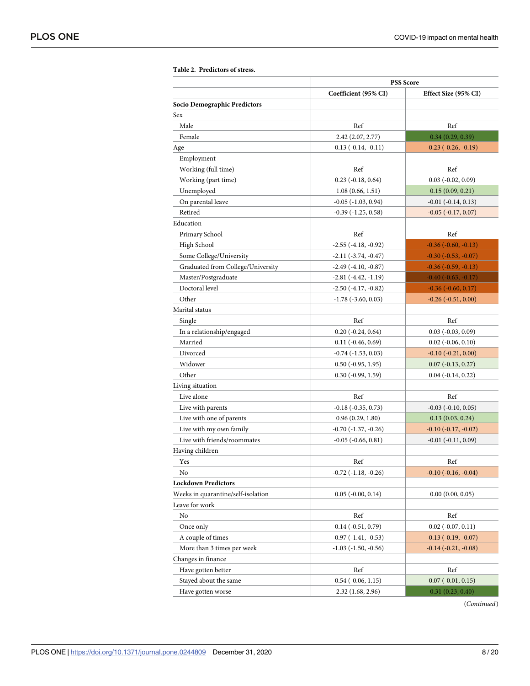|                                    | <b>PSS Score</b>              |                             |
|------------------------------------|-------------------------------|-----------------------------|
|                                    | Coefficient (95% CI)          | Effect Size (95% CI)        |
| Socio Demographic Predictors       |                               |                             |
| Sex                                |                               |                             |
| Male                               | Ref                           | Ref                         |
| Female                             | 2.42 (2.07, 2.77)             | 0.34(0.29, 0.39)            |
| Age                                | $-0.13(-0.14,-0.11)$          | $-0.23$ $(-0.26, -0.19)$    |
| Employment                         |                               |                             |
| Working (full time)                | Ref                           | Ref                         |
| Working (part time)                | $0.23$ (-0.18, 0.64)          | $0.03$ (-0.02, 0.09)        |
| Unemployed                         | 1.08(0.66, 1.51)              | 0.15(0.09, 0.21)            |
| On parental leave                  | $-0.05$ $(-1.03, 0.94)$       | $-0.01$ $(-0.14, 0.13)$     |
| Retired                            | $-0.39(-1.25, 0.58)$          | $-0.05$ $(-0.17, 0.07)$     |
| Education                          |                               |                             |
| Primary School                     | Ref                           | Ref                         |
| High School                        | $-2.55$ ( $-4.18$ , $-0.92$ ) | $-0.36$ $(-0.60, -0.13)$    |
| Some College/University            | $-2.11(-3.74, -0.47)$         | $-0.30$ $(-0.53, -0.07)$    |
| Graduated from College/University  | $-2.49(-4.10, -0.87)$         | $-0.36$ $(-0.59, -0.13)$    |
| Master/Postgraduate                | $-2.81(-4.42,-1.19)$          | $-0.40$ $(-0.63, -0.17)$    |
| Doctoral level                     | $-2.50$ ( $-4.17, -0.82$ )    | $-0.36$ $(-0.60, 0.17)$     |
| Other                              | $-1.78$ $(-3.60, 0.03)$       | $-0.26$ $(-0.51, 0.00)$     |
| Marital status                     |                               |                             |
| Single                             | Ref                           | Ref                         |
| In a relationship/engaged          | $0.20(-0.24, 0.64)$           | $0.03$ ( $-0.03$ , $0.09$ ) |
| Married                            | $0.11 (-0.46, 0.69)$          | $0.02$ ( $-0.06, 0.10$ )    |
| Divorced                           | $-0.74$ ( $-1.53$ , 0.03)     | $-0.10(-0.21, 0.00)$        |
| Widower                            | $0.50$ ( $-0.95$ , 1.95)      | $0.07 (-0.13, 0.27)$        |
| Other                              | $0.30(-0.99, 1.59)$           | $0.04$ ( $-0.14$ , $0.22$ ) |
| Living situation                   |                               |                             |
| Live alone                         | Ref                           | Ref                         |
| Live with parents                  | $-0.18(-0.35, 0.73)$          | $-0.03$ $(-0.10, 0.05)$     |
| Live with one of parents           | 0.96(0.29, 1.80)              | 0.13(0.03, 0.24)            |
| Live with my own family            | $-0.70$ $(-1.37, -0.26)$      | $-0.10$ $(-0.17, -0.02)$    |
| Live with friends/roommates        | $-0.05$ $(-0.66, 0.81)$       | $-0.01$ $(-0.11, 0.09)$     |
| Having children                    |                               |                             |
| Yes                                | Ref                           | Ref                         |
| No                                 | $-0.72$ ( $-1.18$ , $-0.26$ ) | $-0.10$ $(-0.16, -0.04)$    |
| <b>Lockdown Predictors</b>         |                               |                             |
| Weeks in quarantine/self-isolation | $0.05$ ( $-0.00, 0.14$ )      | 0.00(0.00, 0.05)            |
| Leave for work                     |                               |                             |
| No                                 | Ref                           | Ref                         |
| Once only                          | $0.14 (-0.51, 0.79)$          | $0.02$ ( $-0.07, 0.11$ )    |
| A couple of times                  | $-0.97(-1.41,-0.53)$          | $-0.13$ $(-0.19, -0.07)$    |
| More than 3 times per week         | $-1.03$ ( $-1.50$ , $-0.56$ ) | $-0.14$ $(-0.21, -0.08)$    |
| Changes in finance                 |                               |                             |
| Have gotten better                 | Ref                           | Ref                         |
| Stayed about the same              | $0.54$ ( $-0.06$ , 1.15)      | $0.07$ ( $-0.01$ , $0.15$ ) |
| Have gotten worse                  | 2.32(1.68, 2.96)              | 0.31(0.23, 0.40)            |
|                                    |                               |                             |

<span id="page-7-0"></span>**[Table](#page-6-0) 2. Predictors of stress.**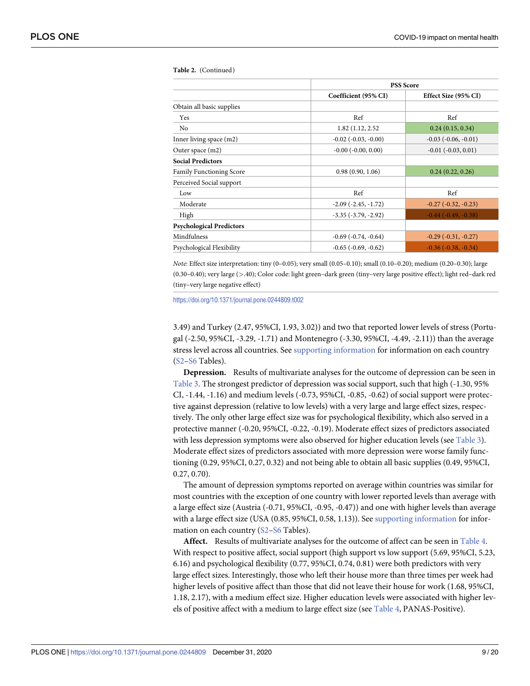|                                 |                               | <b>PSS Score</b>         |  |
|---------------------------------|-------------------------------|--------------------------|--|
|                                 | Coefficient (95% CI)          | Effect Size (95% CI)     |  |
| Obtain all basic supplies       |                               |                          |  |
| Yes                             | Ref                           | Ref                      |  |
| N <sub>0</sub>                  | 1.82 (1.12, 2.52)             | 0.24(0.15, 0.34)         |  |
| Inner living space (m2)         | $-0.02$ ( $-0.03$ , $-0.00$ ) | $-0.03$ $(-0.06, -0.01)$ |  |
| Outer space (m2)                | $-0.00$ $(-0.00, 0.00)$       | $-0.01$ $(-0.03, 0.01)$  |  |
| <b>Social Predictors</b>        |                               |                          |  |
| <b>Family Functioning Score</b> | 0.98(0.90, 1.06)              | 0.24(0.22, 0.26)         |  |
| Perceived Social support        |                               |                          |  |
| Low                             | Ref                           | Ref                      |  |
| Moderate                        | $-2.09$ $(-2.45, -1.72)$      | $-0.27$ $(-0.32, -0.23)$ |  |
| High                            | $-3.35$ $(-3.79, -2.92)$      | $-0.44$ $(-0.49, -0.38)$ |  |
| <b>Psychological Predictors</b> |                               |                          |  |
| Mindfulness                     | $-0.69$ $(-0.74, -0.64)$      | $-0.29$ $(-0.31, -0.27)$ |  |
| Psychological Flexibility       | $-0.65$ ( $-0.69, -0.62$ )    | $-0.36$ $(-0.38, -0.34)$ |  |

<span id="page-8-0"></span>**Table 2.** (Continued)

*Note*: Effect size interpretation: tiny (0–0.05); very small (0.05–0.10); small (0.10–0.20); medium (0.20–0.30); large (0.30–0.40); very large (*>*.40); Color code: light green–dark green (tiny–very large positive effect); light red–dark red (tiny–very large negative effect)

<https://doi.org/10.1371/journal.pone.0244809.t002>

3.49) and Turkey (2.47, 95%CI, 1.93, 3.02)) and two that reported lower levels of stress (Portugal (-2.50, 95%CI, -3.29, -1.71) and Montenegro (-3.30, 95%CI, -4.49, -2.11)) than the average stress level across all countries. See supporting [information](#page-15-0) for information on each country [\(S2](#page-15-0)[–S6](#page-16-0) Tables).

**Depression.** Results of multivariate analyses for the outcome of depression can be seen in [Table](#page-9-0) 3. The strongest predictor of depression was social support, such that high (-1.30, 95% CI, -1.44, -1.16) and medium levels (-0.73, 95%CI, -0.85, -0.62) of social support were protective against depression (relative to low levels) with a very large and large effect sizes, respectively. The only other large effect size was for psychological flexibility, which also served in a protective manner (-0.20, 95%CI, -0.22, -0.19). Moderate effect sizes of predictors associated with less depression symptoms were also observed for higher education levels (see [Table](#page-9-0) 3). Moderate effect sizes of predictors associated with more depression were worse family functioning (0.29, 95%CI, 0.27, 0.32) and not being able to obtain all basic supplies (0.49, 95%CI, 0.27, 0.70).

The amount of depression symptoms reported on average within countries was similar for most countries with the exception of one country with lower reported levels than average with a large effect size (Austria (-0.71, 95%CI, -0.95, -0.47)) and one with higher levels than average with a large effect size (USA (0.85, 95%CI, 0.58, 1.13)). See supporting [information](#page-15-0) for information on each country ([S2](#page-15-0)–[S6](#page-16-0) Tables).

**Affect.** Results of multivariate analyses for the outcome of affect can be seen in [Table](#page-11-0) 4. With respect to positive affect, social support (high support vs low support (5.69, 95%CI, 5.23, 6.16) and psychological flexibility (0.77, 95%CI, 0.74, 0.81) were both predictors with very large effect sizes. Interestingly, those who left their house more than three times per week had higher levels of positive affect than those that did not leave their house for work (1.68, 95%CI, 1.18, 2.17), with a medium effect size. Higher education levels were associated with higher levels of positive affect with a medium to large effect size (see [Table](#page-11-0) 4, PANAS-Positive).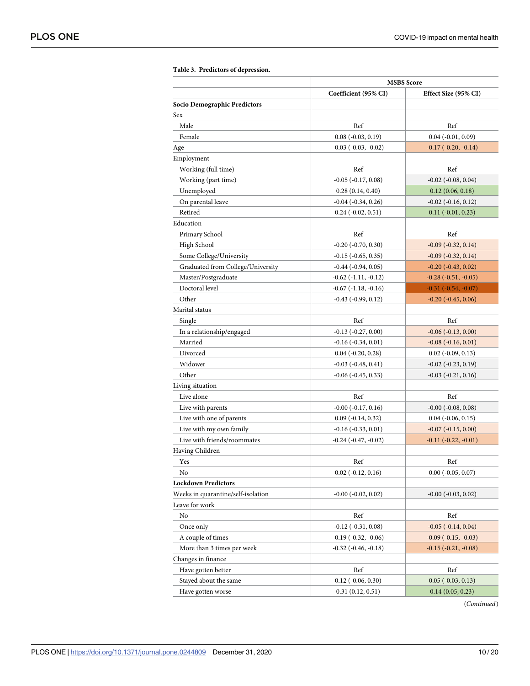<span id="page-9-0"></span>

|                                    | <b>MSBS</b> Score            |                              |
|------------------------------------|------------------------------|------------------------------|
|                                    | Coefficient (95% CI)         | Effect Size (95% CI)         |
| Socio Demographic Predictors       |                              |                              |
| Sex                                |                              |                              |
| Male                               | Ref                          | Ref                          |
| Female                             | $0.08(-0.03, 0.19)$          | $0.04$ ( $-0.01$ , $0.09$ )  |
| Age                                | $-0.03$ $(-0.03, -0.02)$     | $-0.17$ $(-0.20, -0.14)$     |
| Employment                         |                              |                              |
| Working (full time)                | Ref                          | Ref                          |
| Working (part time)                | $-0.05$ ( $-0.17, 0.08$ )    | $-0.02$ $(-0.08, 0.04)$      |
| Unemployed                         | 0.28(0.14, 0.40)             | 0.12(0.06, 0.18)             |
| On parental leave                  | $-0.04$ ( $-0.34$ , $0.26$ ) | $-0.02$ ( $-0.16$ , $0.12$ ) |
| Retired                            | $0.24 (-0.02, 0.51)$         | $0.11 (-0.01, 0.23)$         |
| Education                          |                              |                              |
| Primary School                     | Ref                          | Ref                          |
| High School                        | $-0.20$ $(-0.70, 0.30)$      | $-0.09$ $(-0.32, 0.14)$      |
| Some College/University            | $-0.15$ $(-0.65, 0.35)$      | $-0.09$ $(-0.32, 0.14)$      |
| Graduated from College/University  | $-0.44$ $(-0.94, 0.05)$      | $-0.20$ $(-0.43, 0.02)$      |
| Master/Postgraduate                | $-0.62$ $(-1.11, -0.12)$     | $-0.28$ $(-0.51, -0.05)$     |
| Doctoral level                     | $-0.67$ $(-1.18, -0.16)$     | $-0.31(-0.54, -0.07)$        |
| Other                              | $-0.43$ $(-0.99, 0.12)$      | $-0.20$ $(-0.45, 0.06)$      |
| Marital status                     |                              |                              |
| Single                             | Ref                          | Ref                          |
| In a relationship/engaged          | $-0.13(-0.27, 0.00)$         | $-0.06$ $(-0.13, 0.00)$      |
| Married                            | $-0.16(-0.34, 0.01)$         | $-0.08(-0.16, 0.01)$         |
| Divorced                           | $0.04 (-0.20, 0.28)$         | $0.02$ ( $-0.09, 0.13$ )     |
| Widower                            | $-0.03(-0.48, 0.41)$         | $-0.02$ $(-0.23, 0.19)$      |
| Other                              | $-0.06$ ( $-0.45$ , 0.33)    | $-0.03$ $(-0.21, 0.16)$      |
| Living situation                   |                              |                              |
| Live alone                         | Ref                          | Ref                          |
| Live with parents                  | $-0.00$ $(-0.17, 0.16)$      | $-0.00$ $(-0.08, 0.08)$      |
| Live with one of parents           | $0.09$ ( $-0.14$ , $0.32$ )  | $0.04$ ( $-0.06$ , $0.15$ )  |
| Live with my own family            | $-0.16(-0.33, 0.01)$         | $-0.07$ $(-0.15, 0.00)$      |
| Live with friends/roommates        | $-0.24$ $(-0.47, -0.02)$     | $-0.11(-0.22, -0.01)$        |
| Having Children                    |                              |                              |
| Yes                                | Ref                          | Ref                          |
| No                                 | $0.02$ ( $-0.12, 0.16$ )     | $0.00 (-0.05, 0.07)$         |
| <b>Lockdown Predictors</b>         |                              |                              |
| Weeks in quarantine/self-isolation | $-0.00$ $(-0.02, 0.02)$      | $-0.00$ $(-0.03, 0.02)$      |
| Leave for work                     |                              |                              |
| No                                 | Ref                          | Ref                          |
| Once only                          | $-0.12$ ( $-0.31, 0.08$ )    | $-0.05$ $(-0.14, 0.04)$      |
| A couple of times                  | $-0.19$ $(-0.32, -0.06)$     | $-0.09$ $(-0.15, -0.03)$     |
| More than 3 times per week         | $-0.32$ ( $-0.46, -0.18$ )   | $-0.15$ $(-0.21, -0.08)$     |
| Changes in finance                 |                              |                              |
| Have gotten better                 | Ref                          | Ref                          |
| Stayed about the same              | $0.12$ ( $-0.06, 0.30$ )     | $0.05$ ( $-0.03, 0.13$ )     |
| Have gotten worse                  | 0.31(0.12, 0.51)             | 0.14(0.05, 0.23)             |

**[Table](#page-8-0) 3. Predictors of depression.**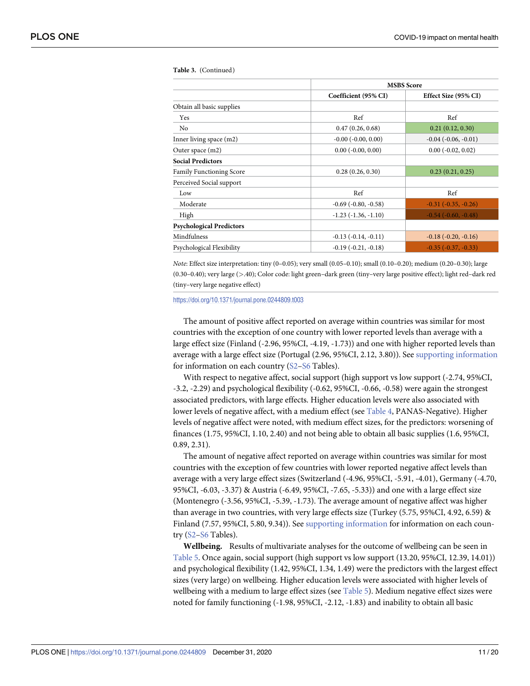|                                 | <b>MSBS</b> Score           |                             |
|---------------------------------|-----------------------------|-----------------------------|
|                                 | Coefficient (95% CI)        | Effect Size (95% CI)        |
| Obtain all basic supplies       |                             |                             |
| Yes                             | Ref                         | Ref                         |
| N <sub>0</sub>                  | 0.47(0.26, 0.68)            | 0.21(0.12, 0.30)            |
| Inner living space (m2)         | $-0.00$ $(-0.00, 0.00)$     | $-0.04$ $(-0.06, -0.01)$    |
| Outer space (m2)                | $0.00$ ( $-0.00$ , $0.00$ ) | $0.00$ ( $-0.02$ , $0.02$ ) |
| <b>Social Predictors</b>        |                             |                             |
| <b>Family Functioning Score</b> | 0.28(0.26, 0.30)            | 0.23(0.21, 0.25)            |
| Perceived Social support        |                             |                             |
| Low                             | Ref                         | Ref                         |
| Moderate                        | $-0.69$ $(-0.80, -0.58)$    | $-0.31$ $(-0.35, -0.26)$    |
| High                            | $-1.23$ $(-1.36, -1.10)$    | $-0.54$ $(-0.60, -0.48)$    |
| <b>Psychological Predictors</b> |                             |                             |
| Mindfulness                     | $-0.13(-0.14,-0.11)$        | $-0.18(-0.20, -0.16)$       |
| Psychological Flexibility       | $-0.19(-0.21,-0.18)$        | $-0.35$ $(-0.37, -0.33)$    |

<span id="page-10-0"></span>**Table 3.** (Continued)

*Note*: Effect size interpretation: tiny (0–0.05); very small (0.05–0.10); small (0.10–0.20); medium (0.20–0.30); large (0.30–0.40); very large (*>*.40); Color code: light green–dark green (tiny–very large positive effect); light red–dark red (tiny–very large negative effect)

#### <https://doi.org/10.1371/journal.pone.0244809.t003>

The amount of positive affect reported on average within countries was similar for most countries with the exception of one country with lower reported levels than average with a large effect size (Finland (-2.96, 95%CI, -4.19, -1.73)) and one with higher reported levels than average with a large effect size (Portugal (2.96, 95%CI, 2.12, 3.80)). See supporting [information](#page-15-0) for information on each country ([S2](#page-15-0)[–S6](#page-16-0) Tables).

With respect to negative affect, social support (high support vs low support  $(-2.74, 95\%CI,$ -3.2, -2.29) and psychological flexibility (-0.62, 95%CI, -0.66, -0.58) were again the strongest associated predictors, with large effects. Higher education levels were also associated with lower levels of negative affect, with a medium effect (see [Table](#page-11-0) 4, PANAS-Negative). Higher levels of negative affect were noted, with medium effect sizes, for the predictors: worsening of finances (1.75, 95%CI, 1.10, 2.40) and not being able to obtain all basic supplies (1.6, 95%CI, 0.89, 2.31).

The amount of negative affect reported on average within countries was similar for most countries with the exception of few countries with lower reported negative affect levels than average with a very large effect sizes (Switzerland (-4.96, 95%CI, -5.91, -4.01), Germany (-4.70, 95%CI, -6.03, -3.37) & Austria (-6.49, 95%CI, -7.65, -5.33)) and one with a large effect size (Montenegro (-3.56, 95%CI, -5.39, -1.73). The average amount of negative affect was higher than average in two countries, with very large effects size (Turkey (5.75, 95%CI, 4.92, 6.59) & Finland (7.57, 95%CI, 5.80, 9.34)). See supporting [information](#page-15-0) for information on each country ([S2](#page-15-0)–[S6](#page-16-0) Tables).

**Wellbeing.** Results of multivariate analyses for the outcome of wellbeing can be seen in [Table](#page-13-0) 5. Once again, social support (high support vs low support (13.20, 95%CI, 12.39, 14.01)) and psychological flexibility (1.42, 95%CI, 1.34, 1.49) were the predictors with the largest effect sizes (very large) on wellbeing. Higher education levels were associated with higher levels of wellbeing with a medium to large effect sizes (see [Table](#page-13-0) 5). Medium negative effect sizes were noted for family functioning (-1.98, 95%CI, -2.12, -1.83) and inability to obtain all basic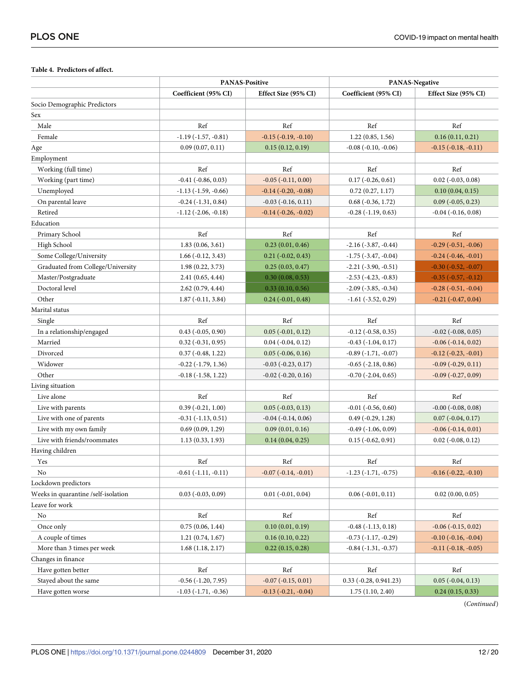### <span id="page-11-0"></span>**[Table](#page-8-0) 4. Predictors of affect.**

|                                     | <b>PANAS-Positive</b>         |                             | PANAS-Negative                |                             |
|-------------------------------------|-------------------------------|-----------------------------|-------------------------------|-----------------------------|
|                                     | Coefficient (95% CI)          | Effect Size (95% CI)        | Coefficient (95% CI)          | Effect Size (95% CI)        |
| Socio Demographic Predictors        |                               |                             |                               |                             |
| Sex                                 |                               |                             |                               |                             |
| Male                                | Ref                           | Ref                         | Ref                           | Ref                         |
| Female                              | $-1.19(-1.57, -0.81)$         | $-0.15$ $(-0.19, -0.10)$    | 1.22(0.85, 1.56)              | 0.16(0.11, 0.21)            |
| Age                                 | 0.09(0.07, 0.11)              | 0.15(0.12, 0.19)            | $-0.08$ $(-0.10, -0.06)$      | $-0.15$ $(-0.18, -0.11)$    |
| Employment                          |                               |                             |                               |                             |
| Working (full time)                 | Ref                           | Ref                         | Ref                           | Ref                         |
| Working (part time)                 | $-0.41$ $(-0.86, 0.03)$       | $-0.05$ $(-0.11, 0.00)$     | $0.17$ ( $-0.26$ , $0.61$ )   | $0.02$ ( $-0.03$ , $0.08$ ) |
| Unemployed                          | $-1.13$ $(-1.59, -0.66)$      | $-0.14$ $(-0.20, -0.08)$    | 0.72(0.27, 1.17)              | 0.10(0.04, 0.15)            |
| On parental leave                   | $-0.24$ $(-1.31, 0.84)$       | $-0.03$ $(-0.16, 0.11)$     | $0.68(-0.36, 1.72)$           | $0.09$ ( $-0.05, 0.23$ )    |
| Retired                             | $-1.12$ ( $-2.06$ , $-0.18$ ) | $-0.14$ $(-0.26, -0.02)$    | $-0.28(-1.19, 0.63)$          | $-0.04$ $(-0.16, 0.08)$     |
| Education                           |                               |                             |                               |                             |
| Primary School                      | Ref                           | Ref                         | Ref                           | Ref                         |
| High School                         | 1.83(0.06, 3.61)              | 0.23(0.01, 0.46)            | $-2.16(-3.87, -0.44)$         | $-0.29$ $(-0.51, -0.06)$    |
| Some College/University             | $1.66(-0.12, 3.43)$           | $0.21 (-0.02, 0.43)$        | $-1.75$ ( $-3.47, -0.04$ )    | $-0.24$ $(-0.46, -0.01)$    |
| Graduated from College/University   | 1.98(0.22, 3.73)              | 0.25(0.03, 0.47)            | $-2.21$ $(-3.90, -0.51)$      | $-0.30$ $(-0.52, -0.07)$    |
| Master/Postgraduate                 | 2.41(0.65, 4.44)              | 0.30(0.08, 0.53)            | $-2.53$ $(-4.23, -0.83)$      | $-0.35$ $(-0.57, -0.12)$    |
| Doctoral level                      | 2.62(0.79, 4.44)              | 0.33(0.10, 0.56)            | $-2.09$ ( $-3.85$ , $-0.34$ ) | $-0.28$ $(-0.51, -0.04)$    |
| Other                               | $1.87(-0.11, 3.84)$           | $0.24$ ( $-0.01$ , $0.48$ ) | $-1.61$ $(-3.52, 0.29)$       | $-0.21$ $(-0.47, 0.04)$     |
| Marital status                      |                               |                             |                               |                             |
| Single                              | Ref                           | Ref                         | Ref                           | Ref                         |
| In a relationship/engaged           | $0.43$ ( $-0.05, 0.90$ )      | $0.05$ ( $-0.01$ , $0.12$ ) | $-0.12$ $(-0.58, 0.35)$       | $-0.02$ $(-0.08, 0.05)$     |
| Married                             | $0.32$ ( $-0.31$ , $0.95$ )   | $0.04$ ( $-0.04$ , $0.12$ ) | $-0.43$ $(-1.04, 0.17)$       | $-0.06$ $(-0.14, 0.02)$     |
| Divorced                            | $0.37(-0.48, 1.22)$           | $0.05$ ( $-0.06, 0.16$ )    | $-0.89(-1.71,-0.07)$          | $-0.12$ $(-0.23, -0.01)$    |
| Widower                             | $-0.22$ $(-1.79, 1.36)$       | $-0.03$ $(-0.23, 0.17)$     | $-0.65$ $(-2.18, 0.86)$       | $-0.09(-0.29, 0.11)$        |
| Other                               | $-0.18$ $(-1.58, 1.22)$       | $-0.02$ $(-0.20, 0.16)$     | $-0.70$ $(-2.04, 0.65)$       | $-0.09$ $(-0.27, 0.09)$     |
| Living situation                    |                               |                             |                               |                             |
| Live alone                          | Ref                           | Ref                         | Ref                           | Ref                         |
| Live with parents                   | $0.39(-0.21, 1.00)$           | $0.05$ ( $-0.03$ , $0.13$ ) | $-0.01$ $(-0.56, 0.60)$       | $-0.00$ $(-0.08, 0.08)$     |
| Live with one of parents            | $-0.31(-1.13, 0.51)$          | $-0.04$ $(-0.14, 0.06)$     | $0.49(-0.29, 1.28)$           | $0.07$ ( $-0.04$ , $0.17$ ) |
| Live with my own family             | 0.69(0.09, 1.29)              | 0.09(0.01, 0.16)            | $-0.49$ $(-1.06, 0.09)$       | $-0.06$ $(-0.14, 0.01)$     |
| Live with friends/roommates         | 1.13(0.33, 1.93)              | 0.14(0.04, 0.25)            | $0.15$ ( $-0.62$ , $0.91$ )   | $0.02$ ( $-0.08$ , $0.12$ ) |
| Having children                     |                               |                             |                               |                             |
| Yes                                 | Ref                           | Ref                         | Ref                           | Ref                         |
| No                                  | $-0.61$ $(-1.11, -0.11)$      | $-0.07$ $(-0.14, -0.01)$    | $-1.23$ $(-1.71, -0.75)$      | $-0.16$ $(-0.22, -0.10)$    |
| Lockdown predictors                 |                               |                             |                               |                             |
| Weeks in quarantine /self-isolation | $0.03$ ( $-0.03$ , $0.09$ )   | $0.01$ ( $-0.01$ , $0.04$ ) | $0.06$ ( $-0.01$ , $0.11$ )   | 0.02(0.00, 0.05)            |
| Leave for work                      |                               |                             |                               |                             |
| $\rm No$                            | Ref                           | Ref                         | Ref                           | Ref                         |
| Once only                           | 0.75(0.06, 1.44)              | 0.10(0.01, 0.19)            | $-0.48$ $(-1.13, 0.18)$       | $-0.06$ $(-0.15, 0.02)$     |
| A couple of times                   | 1.21(0.74, 1.67)              | 0.16(0.10, 0.22)            | $-0.73$ $(-1.17, -0.29)$      | $-0.10$ $(-0.16, -0.04)$    |
| More than 3 times per week          | 1.68(1.18, 2.17)              | 0.22(0.15, 0.28)            | $-0.84$ $(-1.31, -0.37)$      | $-0.11$ $(-0.18, -0.05)$    |
| Changes in finance                  |                               |                             |                               |                             |
| Have gotten better                  | Ref                           | Ref                         | Ref                           | Ref                         |
| Stayed about the same               | $-0.56$ $(-1.20, 7.95)$       | $-0.07$ $(-0.15, 0.01)$     | $0.33$ (-0.28, 0.941.23)      | $0.05$ ( $-0.04$ , $0.13$ ) |
| Have gotten worse                   | $-1.03$ $(-1.71, -0.36)$      | $-0.13$ $(-0.21, -0.04)$    | 1.75(1.10, 2.40)              | 0.24(0.15, 0.33)            |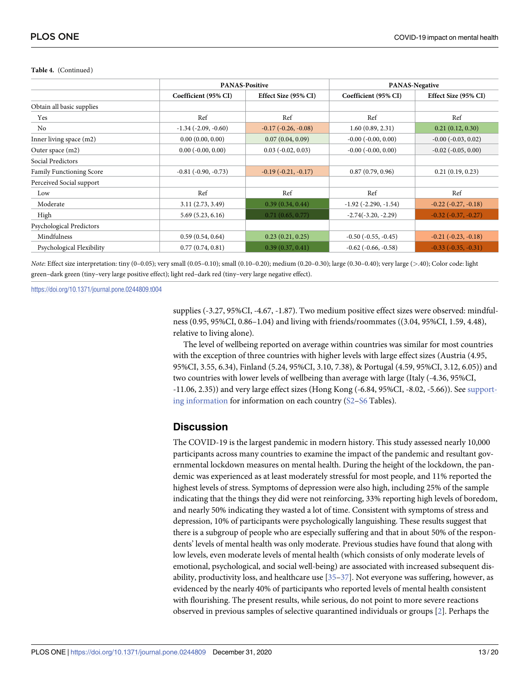|                                 | <b>PANAS-Positive</b>         |                             | <b>PANAS-Negative</b>       |                          |
|---------------------------------|-------------------------------|-----------------------------|-----------------------------|--------------------------|
|                                 | Coefficient (95% CI)          | Effect Size (95% CI)        | Coefficient (95% CI)        | Effect Size (95% CI)     |
| Obtain all basic supplies       |                               |                             |                             |                          |
| Yes                             | Ref                           | Ref                         | Ref                         | Ref                      |
| No                              | $-1.34$ ( $-2.09$ , $-0.60$ ) | $-0.17$ $(-0.26, -0.08)$    | 1.60(0.89, 2.31)            | 0.21(0.12, 0.30)         |
| Inner living space (m2)         | 0.00(0.00, 0.00)              | 0.07(0.04, 0.09)            | $-0.00$ $(-0.00, 0.00)$     | $-0.00$ $(-0.03, 0.02)$  |
| Outer space (m2)                | $0.00$ ( $-0.00$ , $0.00$ )   | $0.03$ ( $-0.02$ , $0.03$ ) | $-0.00$ $(-0.00, 0.00)$     | $-0.02$ $(-0.05, 0.00)$  |
| Social Predictors               |                               |                             |                             |                          |
| <b>Family Functioning Score</b> | $-0.81$ ( $-0.90, -0.73$ )    | $-0.19(-0.21, -0.17)$       | 0.87(0.79, 0.96)            | 0.21(0.19, 0.23)         |
| Perceived Social support        |                               |                             |                             |                          |
| Low                             | Ref                           | Ref                         | Ref                         | Ref                      |
| Moderate                        | 3.11(2.73, 3.49)              | 0.39(0.34, 0.44)            | $-1.92$ ( $-2.290, -1.54$ ) | $-0.22$ $(-0.27, -0.18)$ |
| High                            | 5.69(5.23, 6.16)              | 0.71(0.65, 0.77)            | $-2.74(-3.20, -2.29)$       | $-0.32$ $(-0.37, -0.27)$ |
| Psychological Predictors        |                               |                             |                             |                          |
| Mindfulness                     | 0.59(0.54, 0.64)              | 0.23(0.21, 0.25)            | $-0.50$ $(-0.55, -0.45)$    | $-0.21$ $(-0.23, -0.18)$ |
| Psychological Flexibility       | 0.77(0.74, 0.81)              | 0.39(0.37, 0.41)            | $-0.62$ $(-0.66, -0.58)$    | $-0.33$ $(-0.35, -0.31)$ |

#### <span id="page-12-0"></span>**Table 4.** (Continued)

*Note*: Effect size interpretation: tiny (0–0.05); very small (0.05–0.10); small (0.10–0.20); medium (0.20–0.30); large (0.30–0.40); very large (*>*.40); Color code: light green–dark green (tiny–very large positive effect); light red–dark red (tiny–very large negative effect).

<https://doi.org/10.1371/journal.pone.0244809.t004>

supplies (-3.27, 95%CI, -4.67, -1.87). Two medium positive effect sizes were observed: mindfulness (0.95, 95%CI, 0.86–1.04) and living with friends/roommates ((3.04, 95%CI, 1.59, 4.48), relative to living alone).

The level of wellbeing reported on average within countries was similar for most countries with the exception of three countries with higher levels with large effect sizes (Austria (4.95, 95%CI, 3.55, 6.34), Finland (5.24, 95%CI, 3.10, 7.38), & Portugal (4.59, 95%CI, 3.12, 6.05)) and two countries with lower levels of wellbeing than average with large (Italy (-4.36, 95%CI, -11.06, 2.35)) and very large effect sizes (Hong Kong (-6.84, 95%CI, -8.02, -5.66)). See [support](#page-15-0)ing [information](#page-15-0) for information on each country [\(S2–](#page-15-0)[S6](#page-16-0) Tables).

## **Discussion**

The COVID-19 is the largest pandemic in modern history. This study assessed nearly 10,000 participants across many countries to examine the impact of the pandemic and resultant governmental lockdown measures on mental health. During the height of the lockdown, the pandemic was experienced as at least moderately stressful for most people, and 11% reported the highest levels of stress. Symptoms of depression were also high, including 25% of the sample indicating that the things they did were not reinforcing, 33% reporting high levels of boredom, and nearly 50% indicating they wasted a lot of time. Consistent with symptoms of stress and depression, 10% of participants were psychologically languishing. These results suggest that there is a subgroup of people who are especially suffering and that in about 50% of the respondents' levels of mental health was only moderate. Previous studies have found that along with low levels, even moderate levels of mental health (which consists of only moderate levels of emotional, psychological, and social well-being) are associated with increased subsequent disability, productivity loss, and healthcare use  $[35-37]$ . Not everyone was suffering, however, as evidenced by the nearly 40% of participants who reported levels of mental health consistent with flourishing. The present results, while serious, do not point to more severe reactions observed in previous samples of selective quarantined individuals or groups [[2\]](#page-17-0). Perhaps the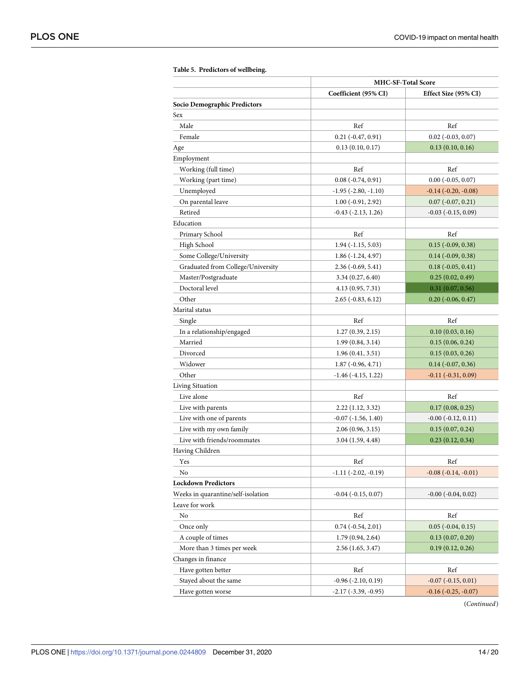<span id="page-13-0"></span>

|                                    | <b>MHC-SF-Total Score</b>   |                             |
|------------------------------------|-----------------------------|-----------------------------|
|                                    | Coefficient (95% CI)        | Effect Size (95% CI)        |
| Socio Demographic Predictors       |                             |                             |
| Sex                                |                             |                             |
| Male                               | Ref                         | Ref                         |
| Female                             | $0.21 (-0.47, 0.91)$        | $0.02$ ( $-0.03, 0.07$ )    |
| Age                                | 0.13(0.10, 0.17)            | 0.13(0.10, 0.16)            |
| Employment                         |                             |                             |
| Working (full time)                | Ref                         | Ref                         |
| Working (part time)                | $0.08(-0.74, 0.91)$         | $0.00 (-0.05, 0.07)$        |
| Unemployed                         | $-1.95$ ( $-2.80, -1.10$ )  | $-0.14$ $(-0.20, -0.08)$    |
| On parental leave                  | $1.00(-0.91, 2.92)$         | $0.07(-0.07, 0.21)$         |
| Retired                            | $-0.43$ $(-2.13, 1.26)$     | $-0.03$ $(-0.15, 0.09)$     |
| Education                          |                             |                             |
| Primary School                     | Ref                         | Ref                         |
| High School                        | $1.94 (-1.15, 5.03)$        | $0.15$ ( $-0.09$ , $0.38$ ) |
| Some College/University            | $1.86(-1.24, 4.97)$         | $0.14 (-0.09, 0.38)$        |
| Graduated from College/University  | $2.36(-0.69, 5.41)$         | $0.18(-0.05, 0.41)$         |
| Master/Postgraduate                | 3.34 (0.27, 6.40)           | 0.25(0.02, 0.49)            |
| Doctoral level                     | 4.13 (0.95, 7.31)           | 0.31(0.07, 0.56)            |
| Other                              | $2.65$ ( $-0.83, 6.12$ )    | $0.20$ (-0.06, 0.47)        |
| Marital status                     |                             |                             |
| Single                             | Ref                         | Ref                         |
| In a relationship/engaged          | 1.27(0.39, 2.15)            | 0.10(0.03, 0.16)            |
| Married                            | 1.99(0.84, 3.14)            | 0.15(0.06, 0.24)            |
| Divorced                           | 1.96(0.41, 3.51)            | 0.15(0.03, 0.26)            |
| Widower                            | $1.87(-0.96, 4.71)$         | $0.14 (-0.07, 0.36)$        |
| Other                              | $-1.46$ ( $-4.15$ , 1.22)   | $-0.11(-0.31, 0.09)$        |
| Living Situation                   |                             |                             |
| Live alone                         | Ref                         | Ref                         |
| Live with parents                  | 2.22 (1.12, 3.32)           | 0.17(0.08, 0.25)            |
| Live with one of parents           | $-0.07$ $(-1.56, 1.40)$     | $-0.00$ $(-0.12, 0.11)$     |
| Live with my own family            | 2.06(0.96, 3.15)            | 0.15(0.07, 0.24)            |
| Live with friends/roommates        | 3.04 (1.59, 4.48)           | 0.23(0.12, 0.34)            |
| Having Children                    |                             |                             |
| Yes                                | Ref                         | Ref                         |
| No                                 | $-1.11(-2.02, -0.19)$       | $-0.08(-0.14,-0.01)$        |
| <b>Lockdown Predictors</b>         |                             |                             |
| Weeks in quarantine/self-isolation | $-0.04$ ( $-0.15, 0.07$ )   | $-0.00$ $(-0.04, 0.02)$     |
| Leave for work                     |                             |                             |
| No                                 | Ref                         | Ref                         |
| Once only                          | $0.74$ ( $-0.54$ , $2.01$ ) | $0.05$ ( $-0.04$ , $0.15$ ) |
| A couple of times                  | 1.79(0.94, 2.64)            | 0.13(0.07, 0.20)            |
| More than 3 times per week         | 2.56 (1.65, 3.47)           | 0.19(0.12, 0.26)            |
| Changes in finance                 |                             |                             |
| Have gotten better                 | Ref                         | Ref                         |
| Stayed about the same              | $-0.96$ ( $-2.10, 0.19$ )   | $-0.07$ $(-0.15, 0.01)$     |
| Have gotten worse                  | $-2.17(-3.39, -0.95)$       | $-0.16(-0.25, -0.07)$       |

**[Table](#page-10-0) 5. Predictors of wellbeing.**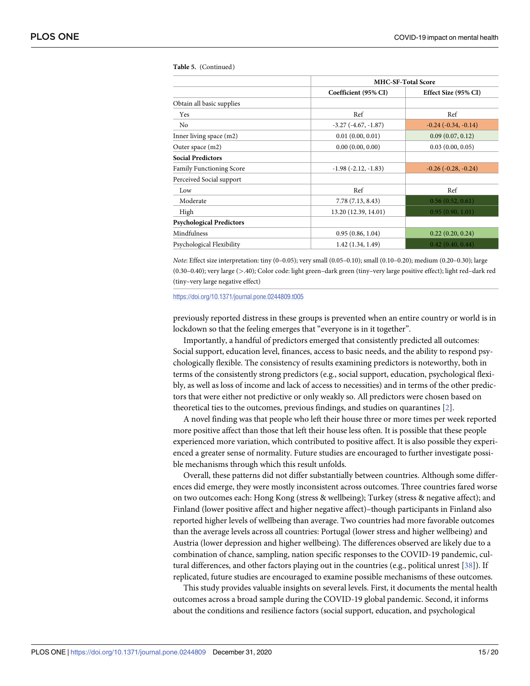|                                 | <b>MHC-SF-Total Score</b> |                          |
|---------------------------------|---------------------------|--------------------------|
|                                 | Coefficient (95% CI)      | Effect Size (95% CI)     |
| Obtain all basic supplies       |                           |                          |
| Yes                             | Ref                       | Ref                      |
| N <sub>0</sub>                  | $-3.27(-4.67,-1.87)$      | $-0.24$ $(-0.34, -0.14)$ |
| Inner living space $(m2)$       | 0.01(0.00, 0.01)          | 0.09(0.07, 0.12)         |
| Outer space (m2)                | 0.00(0.00, 0.00)          | 0.03(0.00, 0.05)         |
| <b>Social Predictors</b>        |                           |                          |
| <b>Family Functioning Score</b> | $-1.98(-2.12,-1.83)$      | $-0.26$ $(-0.28, -0.24)$ |
| Perceived Social support        |                           |                          |
| Low                             | Ref                       | Ref                      |
| Moderate                        | 7.78 (7.13, 8.43)         | 0.56(0.52, 0.61)         |
| High                            | 13.20 (12.39, 14.01)      | 0.95(0.90, 1.01)         |
| <b>Psychological Predictors</b> |                           |                          |
| Mindfulness                     | 0.95(0.86, 1.04)          | 0.22(0.20, 0.24)         |
| Psychological Flexibility       | 1.42(1.34, 1.49)          | 0.42(0.40, 0.44)         |

<span id="page-14-0"></span>**Table 5.** (Continued)

*Note*: Effect size interpretation: tiny (0–0.05); very small (0.05–0.10); small (0.10–0.20); medium (0.20–0.30); large (0.30–0.40); very large (*>*.40); Color code: light green–dark green (tiny–very large positive effect); light red–dark red (tiny–very large negative effect)

#### <https://doi.org/10.1371/journal.pone.0244809.t005>

previously reported distress in these groups is prevented when an entire country or world is in lockdown so that the feeling emerges that "everyone is in it together".

Importantly, a handful of predictors emerged that consistently predicted all outcomes: Social support, education level, finances, access to basic needs, and the ability to respond psychologically flexible. The consistency of results examining predictors is noteworthy, both in terms of the consistently strong predictors (e.g., social support, education, psychological flexibly, as well as loss of income and lack of access to necessities) and in terms of the other predictors that were either not predictive or only weakly so. All predictors were chosen based on theoretical ties to the outcomes, previous findings, and studies on quarantines [[2](#page-17-0)].

A novel finding was that people who left their house three or more times per week reported more positive affect than those that left their house less often. It is possible that these people experienced more variation, which contributed to positive affect. It is also possible they experienced a greater sense of normality. Future studies are encouraged to further investigate possible mechanisms through which this result unfolds.

Overall, these patterns did not differ substantially between countries. Although some differences did emerge, they were mostly inconsistent across outcomes. Three countries fared worse on two outcomes each: Hong Kong (stress & wellbeing); Turkey (stress & negative affect); and Finland (lower positive affect and higher negative affect)–though participants in Finland also reported higher levels of wellbeing than average. Two countries had more favorable outcomes than the average levels across all countries: Portugal (lower stress and higher wellbeing) and Austria (lower depression and higher wellbeing). The differences observed are likely due to a combination of chance, sampling, nation specific responses to the COVID-19 pandemic, cultural differences, and other factors playing out in the countries (e.g., political unrest [[38](#page-18-0)]). If replicated, future studies are encouraged to examine possible mechanisms of these outcomes.

This study provides valuable insights on several levels. First, it documents the mental health outcomes across a broad sample during the COVID-19 global pandemic. Second, it informs about the conditions and resilience factors (social support, education, and psychological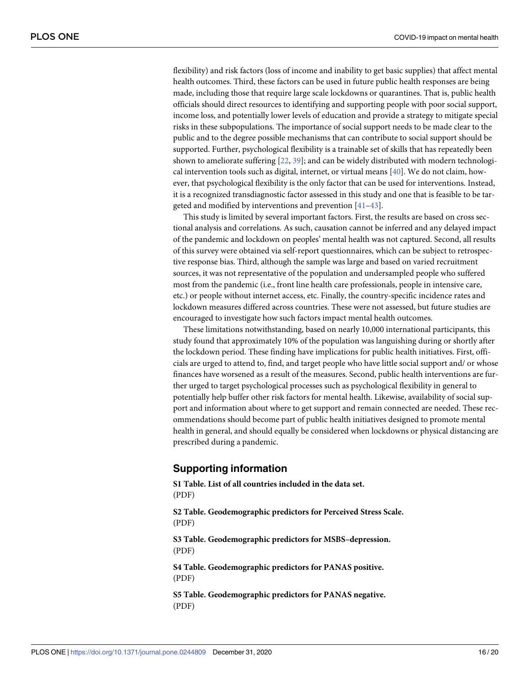<span id="page-15-0"></span>flexibility) and risk factors (loss of income and inability to get basic supplies) that affect mental health outcomes. Third, these factors can be used in future public health responses are being made, including those that require large scale lockdowns or quarantines. That is, public health officials should direct resources to identifying and supporting people with poor social support, income loss, and potentially lower levels of education and provide a strategy to mitigate special risks in these subpopulations. The importance of social support needs to be made clear to the public and to the degree possible mechanisms that can contribute to social support should be supported. Further, psychological flexibility is a trainable set of skills that has repeatedly been shown to ameliorate suffering [\[22,](#page-18-0) [39\]](#page-18-0); and can be widely distributed with modern technological intervention tools such as digital, internet, or virtual means [[40](#page-19-0)]. We do not claim, however, that psychological flexibility is the only factor that can be used for interventions. Instead, it is a recognized transdiagnostic factor assessed in this study and one that is feasible to be targeted and modified by interventions and prevention [\[41–43](#page-19-0)].

This study is limited by several important factors. First, the results are based on cross sectional analysis and correlations. As such, causation cannot be inferred and any delayed impact of the pandemic and lockdown on peoples' mental health was not captured. Second, all results of this survey were obtained via self-report questionnaires, which can be subject to retrospective response bias. Third, although the sample was large and based on varied recruitment sources, it was not representative of the population and undersampled people who suffered most from the pandemic (i.e., front line health care professionals, people in intensive care, etc.) or people without internet access, etc. Finally, the country-specific incidence rates and lockdown measures differed across countries. These were not assessed, but future studies are encouraged to investigate how such factors impact mental health outcomes.

These limitations notwithstanding, based on nearly 10,000 international participants, this study found that approximately 10% of the population was languishing during or shortly after the lockdown period. These finding have implications for public health initiatives. First, officials are urged to attend to, find, and target people who have little social support and/ or whose finances have worsened as a result of the measures. Second, public health interventions are further urged to target psychological processes such as psychological flexibility in general to potentially help buffer other risk factors for mental health. Likewise, availability of social support and information about where to get support and remain connected are needed. These recommendations should become part of public health initiatives designed to promote mental health in general, and should equally be considered when lockdowns or physical distancing are prescribed during a pandemic.

## **Supporting information**

**S1 [Table.](http://www.plosone.org/article/fetchSingleRepresentation.action?uri=info:doi/10.1371/journal.pone.0244809.s001) List of all countries included in the data set.** (PDF) **S2 [Table.](http://www.plosone.org/article/fetchSingleRepresentation.action?uri=info:doi/10.1371/journal.pone.0244809.s002) Geodemographic predictors for Perceived Stress Scale.** (PDF)

**S3 [Table.](http://www.plosone.org/article/fetchSingleRepresentation.action?uri=info:doi/10.1371/journal.pone.0244809.s003) Geodemographic predictors for MSBS–depression.** (PDF)

**S4 [Table.](http://www.plosone.org/article/fetchSingleRepresentation.action?uri=info:doi/10.1371/journal.pone.0244809.s004) Geodemographic predictors for PANAS positive.** (PDF)

**S5 [Table.](http://www.plosone.org/article/fetchSingleRepresentation.action?uri=info:doi/10.1371/journal.pone.0244809.s005) Geodemographic predictors for PANAS negative.** (PDF)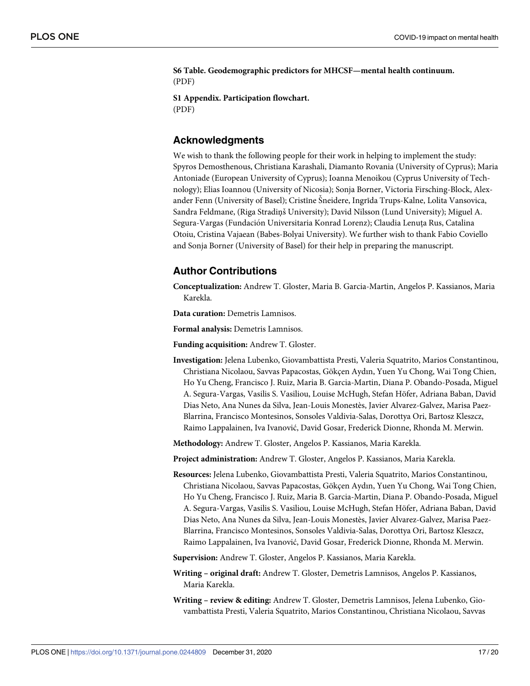<span id="page-16-0"></span>**S6 [Table.](http://www.plosone.org/article/fetchSingleRepresentation.action?uri=info:doi/10.1371/journal.pone.0244809.s006) Geodemographic predictors for MHCSF—mental health continuum.** (PDF)

**S1 [Appendix](http://www.plosone.org/article/fetchSingleRepresentation.action?uri=info:doi/10.1371/journal.pone.0244809.s007). Participation flowchart.** (PDF)

## **Acknowledgments**

We wish to thank the following people for their work in helping to implement the study: Spyros Demosthenous, Christiana Karashali, Diamanto Rovania (University of Cyprus); Maria Antoniade (European University of Cyprus); Ioanna Menoikou (Cyprus University of Technology); Elias Ioannou (University of Nicosia); Sonja Borner, Victoria Firsching-Block, Alexander Fenn (University of Basel); Cristīne Šneidere, Ingrīda Trups-Kalne, Lolita Vansovica, Sandra Feldmane, (Riga Stradinš University); David Nilsson (Lund University); Miguel A. Segura-Vargas (Fundación Universitaria Konrad Lorenz); Claudia Lenuța Rus, Catalina Otoiu, Cristina Vajaean (Babes-Bolyai University). We further wish to thank Fabio Coviello and Sonja Borner (University of Basel) for their help in preparing the manuscript.

## **Author Contributions**

**Conceptualization:** Andrew T. Gloster, Maria B. Garcia-Martin, Angelos P. Kassianos, Maria Karekla.

**Data curation:** Demetris Lamnisos.

**Formal analysis:** Demetris Lamnisos.

**Funding acquisition:** Andrew T. Gloster.

**Investigation:** Jelena Lubenko, Giovambattista Presti, Valeria Squatrito, Marios Constantinou, Christiana Nicolaou, Savvas Papacostas, Gökçen Aydın, Yuen Yu Chong, Wai Tong Chien, Ho Yu Cheng, Francisco J. Ruiz, Maria B. Garcia-Martin, Diana P. Obando-Posada, Miguel A. Segura-Vargas, Vasilis S. Vasiliou, Louise McHugh, Stefan Höfer, Adriana Baban, David Dias Neto, Ana Nunes da Silva, Jean-Louis Monestès, Javier Alvarez-Galvez, Marisa Paez-Blarrina, Francisco Montesinos, Sonsoles Valdivia-Salas, Dorottya Ori, Bartosz Kleszcz, Raimo Lappalainen, Iva Ivanović, David Gosar, Frederick Dionne, Rhonda M. Merwin.

**Methodology:** Andrew T. Gloster, Angelos P. Kassianos, Maria Karekla.

**Project administration:** Andrew T. Gloster, Angelos P. Kassianos, Maria Karekla.

**Resources:** Jelena Lubenko, Giovambattista Presti, Valeria Squatrito, Marios Constantinou, Christiana Nicolaou, Savvas Papacostas, Gökçen Aydın, Yuen Yu Chong, Wai Tong Chien, Ho Yu Cheng, Francisco J. Ruiz, Maria B. Garcia-Martin, Diana P. Obando-Posada, Miguel A. Segura-Vargas, Vasilis S. Vasiliou, Louise McHugh, Stefan Höfer, Adriana Baban, David Dias Neto, Ana Nunes da Silva, Jean-Louis Monestès, Javier Alvarez-Galvez, Marisa Paez-Blarrina, Francisco Montesinos, Sonsoles Valdivia-Salas, Dorottya Ori, Bartosz Kleszcz, Raimo Lappalainen, Iva Ivanović, David Gosar, Frederick Dionne, Rhonda M. Merwin.

**Supervision:** Andrew T. Gloster, Angelos P. Kassianos, Maria Karekla.

**Writing – original draft:** Andrew T. Gloster, Demetris Lamnisos, Angelos P. Kassianos, Maria Karekla.

**Writing – review & editing:** Andrew T. Gloster, Demetris Lamnisos, Jelena Lubenko, Giovambattista Presti, Valeria Squatrito, Marios Constantinou, Christiana Nicolaou, Savvas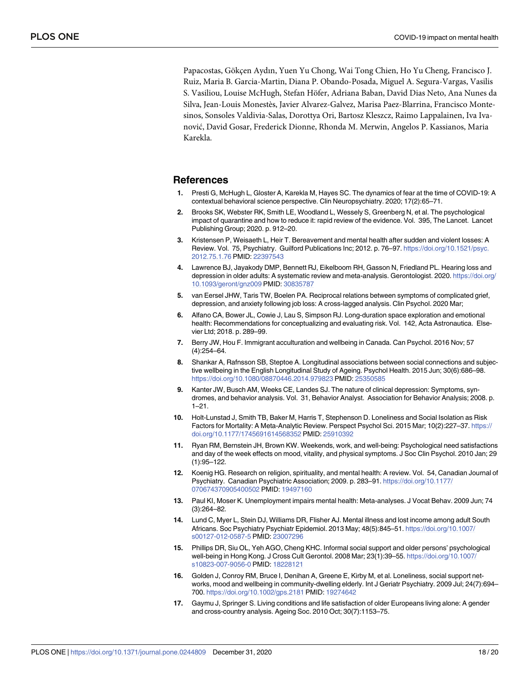<span id="page-17-0"></span>Papacostas, Gökçen Aydın, Yuen Yu Chong, Wai Tong Chien, Ho Yu Cheng, Francisco J. Ruiz, Maria B. Garcia-Martin, Diana P. Obando-Posada, Miguel A. Segura-Vargas, Vasilis S. Vasiliou, Louise McHugh, Stefan Höfer, Adriana Baban, David Dias Neto, Ana Nunes da Silva, Jean-Louis Monestès, Javier Alvarez-Galvez, Marisa Paez-Blarrina, Francisco Montesinos, Sonsoles Valdivia-Salas, Dorottya Ori, Bartosz Kleszcz, Raimo Lappalainen, Iva Ivanović, David Gosar, Frederick Dionne, Rhonda M. Merwin, Angelos P. Kassianos, Maria Karekla.

## **References**

- **[1](#page-1-0).** Presti G, McHugh L, Gloster A, Karekla M, Hayes SC. The dynamics of fear at the time of COVID-19: A contextual behavioral science perspective. Clin Neuropsychiatry. 2020; 17(2):65–71.
- **[2](#page-1-0).** Brooks SK, Webster RK, Smith LE, Woodland L, Wessely S, Greenberg N, et al. The psychological impact of quarantine and how to reduce it: rapid review of the evidence. Vol. 395, The Lancet. Lancet Publishing Group; 2020. p. 912–20.
- **[3](#page-1-0).** Kristensen P, Weisaeth L, Heir T. Bereavement and mental health after sudden and violent losses: A Review. Vol. 75, Psychiatry. Guilford Publications Inc; 2012. p. 76–97. [https://doi.org/10.1521/psyc.](https://doi.org/10.1521/psyc.2012.75.1.76) [2012.75.1.76](https://doi.org/10.1521/psyc.2012.75.1.76) PMID: [22397543](http://www.ncbi.nlm.nih.gov/pubmed/22397543)
- **[4](#page-1-0).** Lawrence BJ, Jayakody DMP, Bennett RJ, Eikelboom RH, Gasson N, Friedland PL. Hearing loss and depression in older adults: A systematic review and meta-analysis. Gerontologist. 2020. [https://doi.org/](https://doi.org/10.1093/geront/gnz009) [10.1093/geront/gnz009](https://doi.org/10.1093/geront/gnz009) PMID: [30835787](http://www.ncbi.nlm.nih.gov/pubmed/30835787)
- **[5](#page-1-0).** van Eersel JHW, Taris TW, Boelen PA. Reciprocal relations between symptoms of complicated grief, depression, and anxiety following job loss: A cross-lagged analysis. Clin Psychol. 2020 Mar;
- **[6](#page-1-0).** Alfano CA, Bower JL, Cowie J, Lau S, Simpson RJ. Long-duration space exploration and emotional health: Recommendations for conceptualizing and evaluating risk. Vol. 142, Acta Astronautica. Elsevier Ltd; 2018. p. 289–99.
- **[7](#page-1-0).** Berry JW, Hou F. Immigrant acculturation and wellbeing in Canada. Can Psychol. 2016 Nov; 57 (4):254–64.
- **[8](#page-1-0).** Shankar A, Rafnsson SB, Steptoe A. Longitudinal associations between social connections and subjective wellbeing in the English Longitudinal Study of Ageing. Psychol Health. 2015 Jun; 30(6):686–98. <https://doi.org/10.1080/08870446.2014.979823> PMID: [25350585](http://www.ncbi.nlm.nih.gov/pubmed/25350585)
- **[9](#page-1-0).** Kanter JW, Busch AM, Weeks CE, Landes SJ. The nature of clinical depression: Symptoms, syndromes, and behavior analysis. Vol. 31, Behavior Analyst. Association for Behavior Analysis; 2008. p. 1–21.
- **[10](#page-2-0).** Holt-Lunstad J, Smith TB, Baker M, Harris T, Stephenson D. Loneliness and Social Isolation as Risk Factors for Mortality: A Meta-Analytic Review. Perspect Psychol Sci. 2015 Mar; 10(2):227–37. [https://](https://doi.org/10.1177/1745691614568352) [doi.org/10.1177/1745691614568352](https://doi.org/10.1177/1745691614568352) PMID: [25910392](http://www.ncbi.nlm.nih.gov/pubmed/25910392)
- **[11](#page-2-0).** Ryan RM, Bernstein JH, Brown KW. Weekends, work, and well-being: Psychological need satisfactions and day of the week effects on mood, vitality, and physical symptoms. J Soc Clin Psychol. 2010 Jan; 29 (1):95–122.
- **[12](#page-2-0).** Koenig HG. Research on religion, spirituality, and mental health: A review. Vol. 54, Canadian Journal of Psychiatry. Canadian Psychiatric Association; 2009. p. 283–91. [https://doi.org/10.1177/](https://doi.org/10.1177/070674370905400502) [070674370905400502](https://doi.org/10.1177/070674370905400502) PMID: [19497160](http://www.ncbi.nlm.nih.gov/pubmed/19497160)
- **[13](#page-2-0).** Paul KI, Moser K. Unemployment impairs mental health: Meta-analyses. J Vocat Behav. 2009 Jun; 74 (3):264–82.
- **[14](#page-2-0).** Lund C, Myer L, Stein DJ, Williams DR, Flisher AJ. Mental illness and lost income among adult South Africans. Soc Psychiatry Psychiatr Epidemiol. 2013 May; 48(5):845–51. [https://doi.org/10.1007/](https://doi.org/10.1007/s00127-012-0587-5) [s00127-012-0587-5](https://doi.org/10.1007/s00127-012-0587-5) PMID: [23007296](http://www.ncbi.nlm.nih.gov/pubmed/23007296)
- **[15](#page-2-0).** Phillips DR, Siu OL, Yeh AGO, Cheng KHC. Informal social support and older persons' psychological well-being in Hong Kong. J Cross Cult Gerontol. 2008 Mar; 23(1):39–55. [https://doi.org/10.1007/](https://doi.org/10.1007/s10823-007-9056-0) [s10823-007-9056-0](https://doi.org/10.1007/s10823-007-9056-0) PMID: [18228121](http://www.ncbi.nlm.nih.gov/pubmed/18228121)
- **16.** Golden J, Conroy RM, Bruce I, Denihan A, Greene E, Kirby M, et al. Loneliness, social support networks, mood and wellbeing in community-dwelling elderly. Int J Geriatr Psychiatry. 2009 Jul; 24(7):694– 700. <https://doi.org/10.1002/gps.2181> PMID: [19274642](http://www.ncbi.nlm.nih.gov/pubmed/19274642)
- **17.** Gaymu J, Springer S. Living conditions and life satisfaction of older Europeans living alone: A gender and cross-country analysis. Ageing Soc. 2010 Oct; 30(7):1153–75.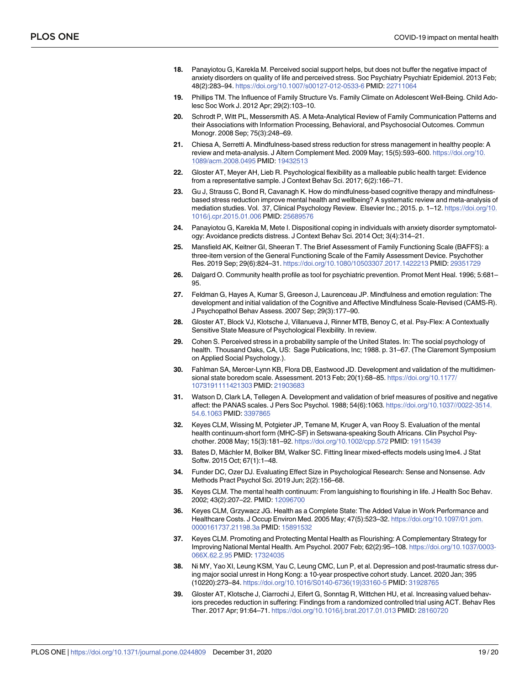- <span id="page-18-0"></span>**[18](#page-2-0).** Panayiotou G, Karekla M. Perceived social support helps, but does not buffer the negative impact of anxiety disorders on quality of life and perceived stress. Soc Psychiatry Psychiatr Epidemiol. 2013 Feb; 48(2):283–94. <https://doi.org/10.1007/s00127-012-0533-6> PMID: [22711064](http://www.ncbi.nlm.nih.gov/pubmed/22711064)
- **[19](#page-2-0).** Phillips TM. The Influence of Family Structure Vs. Family Climate on Adolescent Well-Being. Child Adolesc Soc Work J. 2012 Apr; 29(2):103–10.
- **[20](#page-2-0).** Schrodt P, Witt PL, Messersmith AS. A Meta-Analytical Review of Family Communication Patterns and their Associations with Information Processing, Behavioral, and Psychosocial Outcomes. Commun Monogr. 2008 Sep; 75(3):248–69.
- **[21](#page-2-0).** Chiesa A, Serretti A. Mindfulness-based stress reduction for stress management in healthy people: A review and meta-analysis. J Altern Complement Med. 2009 May; 15(5):593–600. [https://doi.org/10.](https://doi.org/10.1089/acm.2008.0495) [1089/acm.2008.0495](https://doi.org/10.1089/acm.2008.0495) PMID: [19432513](http://www.ncbi.nlm.nih.gov/pubmed/19432513)
- **[22](#page-15-0).** Gloster AT, Meyer AH, Lieb R. Psychological flexibility as a malleable public health target: Evidence from a representative sample. J Context Behav Sci. 2017; 6(2):166–71.
- **23.** Gu J, Strauss C, Bond R, Cavanagh K. How do mindfulness-based cognitive therapy and mindfulnessbased stress reduction improve mental health and wellbeing? A systematic review and meta-analysis of mediation studies. Vol. 37, Clinical Psychology Review. Elsevier Inc.; 2015. p. 1–12. [https://doi.org/10.](https://doi.org/10.1016/j.cpr.2015.01.006) [1016/j.cpr.2015.01.006](https://doi.org/10.1016/j.cpr.2015.01.006) PMID: [25689576](http://www.ncbi.nlm.nih.gov/pubmed/25689576)
- **[24](#page-2-0).** Panayiotou G, Karekla M, Mete I. Dispositional coping in individuals with anxiety disorder symptomatology: Avoidance predicts distress. J Context Behav Sci. 2014 Oct; 3(4):314–21.
- **[25](#page-3-0).** Mansfield AK, Keitner GI, Sheeran T. The Brief Assessment of Family Functioning Scale (BAFFS): a three-item version of the General Functioning Scale of the Family Assessment Device. Psychother Res. 2019 Sep; 29(6):824–31. <https://doi.org/10.1080/10503307.2017.1422213> PMID: [29351729](http://www.ncbi.nlm.nih.gov/pubmed/29351729)
- **[26](#page-3-0).** Dalgard O. Community health profile as tool for psychiatric prevention. Promot Ment Heal. 1996; 5:681– 95.
- **[27](#page-3-0).** Feldman G, Hayes A, Kumar S, Greeson J, Laurenceau JP. Mindfulness and emotion regulation: The development and initial validation of the Cognitive and Affective Mindfulness Scale-Revised (CAMS-R). J Psychopathol Behav Assess. 2007 Sep; 29(3):177–90.
- **[28](#page-4-0).** Gloster AT, Block VJ, Klotsche J, Villanueva J, Rinner MTB, Benoy C, et al. Psy-Flex: A Contextually Sensitive State Measure of Psychological Flexibility. In review.
- **[29](#page-4-0).** Cohen S. Perceived stress in a probability sample of the United States. In: The social psychology of health. Thousand Oaks, CA, US: Sage Publications, Inc; 1988. p. 31–67. (The Claremont Symposium on Applied Social Psychology.).
- **[30](#page-4-0).** Fahlman SA, Mercer-Lynn KB, Flora DB, Eastwood JD. Development and validation of the multidimensional state boredom scale. Assessment. 2013 Feb; 20(1):68–85. [https://doi.org/10.1177/](https://doi.org/10.1177/1073191111421303) [1073191111421303](https://doi.org/10.1177/1073191111421303) PMID: [21903683](http://www.ncbi.nlm.nih.gov/pubmed/21903683)
- **[31](#page-4-0).** Watson D, Clark LA, Tellegen A. Development and validation of brief measures of positive and negative affect: the PANAS scales. J Pers Soc Psychol. 1988; 54(6):1063. [https://doi.org/10.1037//0022-3514.](https://doi.org/10.1037//0022-3514.54.6.1063) [54.6.1063](https://doi.org/10.1037//0022-3514.54.6.1063) PMID: [3397865](http://www.ncbi.nlm.nih.gov/pubmed/3397865)
- **[32](#page-4-0).** Keyes CLM, Wissing M, Potgieter JP, Temane M, Kruger A, van Rooy S. Evaluation of the mental health continuum-short form (MHC-SF) in Setswana-speaking South Africans. Clin Psychol Psychother. 2008 May; 15(3):181–92. <https://doi.org/10.1002/cpp.572> PMID: [19115439](http://www.ncbi.nlm.nih.gov/pubmed/19115439)
- **[33](#page-5-0).** Bates D, Mächler M, Bolker BM, Walker SC. Fitting linear mixed-effects models using lme4. J Stat Softw. 2015 Oct; 67(1):1–48.
- **[34](#page-5-0).** Funder DC, Ozer DJ. Evaluating Effect Size in Psychological Research: Sense and Nonsense. Adv Methods Pract Psychol Sci. 2019 Jun; 2(2):156–68.
- **[35](#page-12-0).** Keyes CLM. The mental health continuum: From languishing to flourishing in life. J Health Soc Behav. 2002; 43(2):207–22. PMID: [12096700](http://www.ncbi.nlm.nih.gov/pubmed/12096700)
- **36.** Keyes CLM, Grzywacz JG. Health as a Complete State: The Added Value in Work Performance and Healthcare Costs. J Occup Environ Med. 2005 May; 47(5):523–32. [https://doi.org/10.1097/01.jom.](https://doi.org/10.1097/01.jom.0000161737.21198.3a) [0000161737.21198.3a](https://doi.org/10.1097/01.jom.0000161737.21198.3a) PMID: [15891532](http://www.ncbi.nlm.nih.gov/pubmed/15891532)
- **[37](#page-12-0).** Keyes CLM. Promoting and Protecting Mental Health as Flourishing: A Complementary Strategy for Improving National Mental Health. Am Psychol. 2007 Feb; 62(2):95–108. [https://doi.org/10.1037/0003-](https://doi.org/10.1037/0003-066X.62.2.95) [066X.62.2.95](https://doi.org/10.1037/0003-066X.62.2.95) PMID: [17324035](http://www.ncbi.nlm.nih.gov/pubmed/17324035)
- **[38](#page-14-0).** Ni MY, Yao XI, Leung KSM, Yau C, Leung CMC, Lun P, et al. Depression and post-traumatic stress during major social unrest in Hong Kong: a 10-year prospective cohort study. Lancet. 2020 Jan; 395 (10220):273–84. [https://doi.org/10.1016/S0140-6736\(19\)33160-5](https://doi.org/10.1016/S0140-6736%2819%2933160-5) PMID: [31928765](http://www.ncbi.nlm.nih.gov/pubmed/31928765)
- **[39](#page-15-0).** Gloster AT, Klotsche J, Ciarrochi J, Eifert G, Sonntag R, Wittchen HU, et al. Increasing valued behaviors precedes reduction in suffering: Findings from a randomized controlled trial using ACT. Behav Res Ther. 2017 Apr; 91:64–71. <https://doi.org/10.1016/j.brat.2017.01.013> PMID: [28160720](http://www.ncbi.nlm.nih.gov/pubmed/28160720)